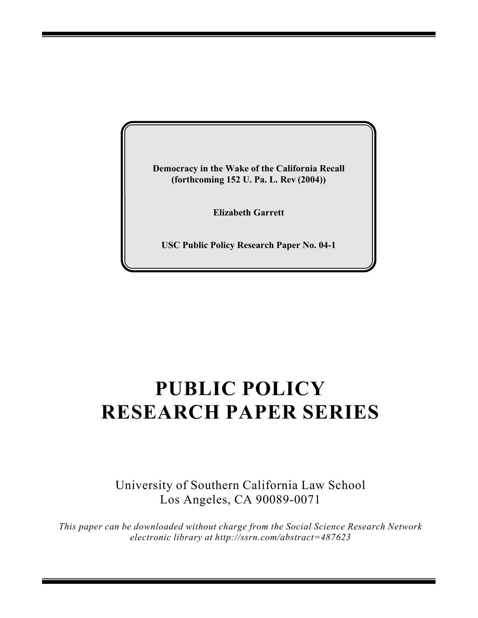**Democracy in the Wake of the California Recall (forthcoming 152 U. Pa. L. Rev (2004))**

**Elizabeth Garrett**

**USC Public Policy Research Paper No. 04-1**

# **PUBLIC POLICY RESEARCH PAPER SERIES**

University of Southern California Law School Los Angeles, CA 90089-0071

*This paper can be downloaded without charge from the Social Science Research Network electronic library at http://ssrn.com/abstract=487623*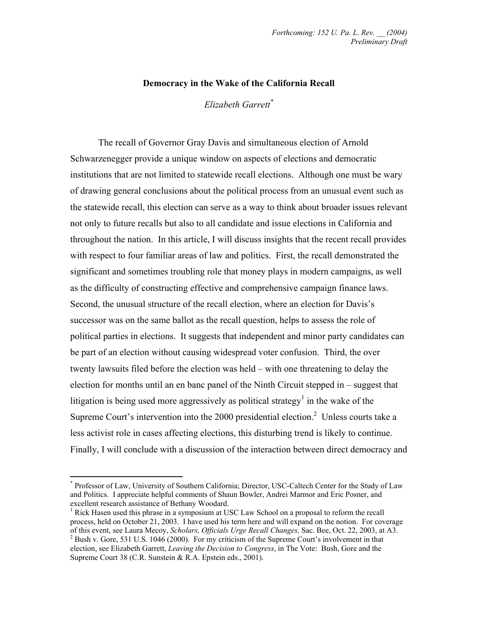### **Democracy in the Wake of the California Recall**

*Elizabeth Garrett\**

 The recall of Governor Gray Davis and simultaneous election of Arnold Schwarzenegger provide a unique window on aspects of elections and democratic institutions that are not limited to statewide recall elections. Although one must be wary of drawing general conclusions about the political process from an unusual event such as the statewide recall, this election can serve as a way to think about broader issues relevant not only to future recalls but also to all candidate and issue elections in California and throughout the nation. In this article, I will discuss insights that the recent recall provides with respect to four familiar areas of law and politics. First, the recall demonstrated the significant and sometimes troubling role that money plays in modern campaigns, as well as the difficulty of constructing effective and comprehensive campaign finance laws. Second, the unusual structure of the recall election, where an election for Davis's successor was on the same ballot as the recall question, helps to assess the role of political parties in elections. It suggests that independent and minor party candidates can be part of an election without causing widespread voter confusion. Third, the over twenty lawsuits filed before the election was held – with one threatening to delay the election for months until an en banc panel of the Ninth Circuit stepped in – suggest that litigation is being used more aggressively as political strategy<sup>1</sup> in the wake of the Supreme Court's intervention into the 2000 presidential election.<sup>2</sup> Unless courts take a less activist role in cases affecting elections, this disturbing trend is likely to continue. Finally, I will conclude with a discussion of the interaction between direct democracy and

<sup>\*</sup> Professor of Law, University of Southern California; Director, USC-Caltech Center for the Study of Law and Politics. I appreciate helpful comments of Shaun Bowler, Andrei Marmor and Eric Posner, and excellent research assistance of Bethany Woodard.

<sup>&</sup>lt;sup>1</sup> Rick Hasen used this phrase in a symposium at USC Law School on a proposal to reform the recall process, held on October 21, 2003. I have used his term here and will expand on the notion. For coverage of this event, see Laura Mecoy, *Scholars, Officials Urge Recall Changes,* Sac. Bee, Oct. 22, 2003, at A3. <sup>2</sup>  $^{2}$  Bush v. Gore, 531 U.S. 1046 (2000). For my criticism of the Supreme Court's involvement in that

election, see Elizabeth Garrett, *Leaving the Decision to Congress*, in The Vote: Bush, Gore and the Supreme Court 38 (C.R. Sunstein & R.A. Epstein eds., 2001).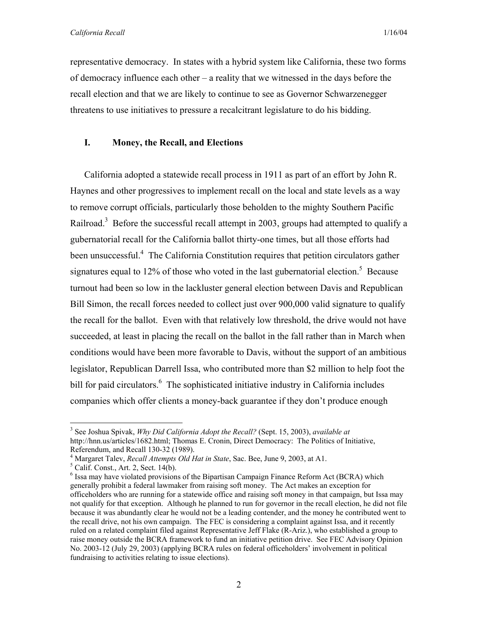representative democracy. In states with a hybrid system like California, these two forms of democracy influence each other – a reality that we witnessed in the days before the recall election and that we are likely to continue to see as Governor Schwarzenegger threatens to use initiatives to pressure a recalcitrant legislature to do his bidding.

## **I. Money, the Recall, and Elections**

California adopted a statewide recall process in 1911 as part of an effort by John R. Haynes and other progressives to implement recall on the local and state levels as a way to remove corrupt officials, particularly those beholden to the mighty Southern Pacific Railroad.<sup>3</sup> Before the successful recall attempt in 2003, groups had attempted to qualify a gubernatorial recall for the California ballot thirty-one times, but all those efforts had been unsuccessful.<sup>4</sup> The California Constitution requires that petition circulators gather signatures equal to 12% of those who voted in the last gubernatorial election.<sup>5</sup> Because turnout had been so low in the lackluster general election between Davis and Republican Bill Simon, the recall forces needed to collect just over 900,000 valid signature to qualify the recall for the ballot. Even with that relatively low threshold, the drive would not have succeeded, at least in placing the recall on the ballot in the fall rather than in March when conditions would have been more favorable to Davis, without the support of an ambitious legislator, Republican Darrell Issa, who contributed more than \$2 million to help foot the bill for paid circulators.<sup>6</sup> The sophisticated initiative industry in California includes companies which offer clients a money-back guarantee if they don't produce enough

 $\overline{a}$ 3 See Joshua Spivak, *Why Did California Adopt the Recall?* (Sept. 15, 2003), *available at*  http://hnn.us/articles/1682.html; Thomas E. Cronin, Direct Democracy: The Politics of Initiative, Referendum, and Recall 130-32 (1989).

<sup>&</sup>lt;sup>4</sup> Margaret Talev, *Recall Attempts Old Hat in State*, Sac. Bee, June 9, 2003, at A1.

 $<sup>5</sup>$  Calif. Const., Art. 2, Sect. 14(b).</sup>

 $<sup>6</sup>$  Issa may have violated provisions of the Bipartisan Campaign Finance Reform Act (BCRA) which</sup> generally prohibit a federal lawmaker from raising soft money. The Act makes an exception for officeholders who are running for a statewide office and raising soft money in that campaign, but Issa may not qualify for that exception. Although he planned to run for governor in the recall election, he did not file because it was abundantly clear he would not be a leading contender, and the money he contributed went to the recall drive, not his own campaign. The FEC is considering a complaint against Issa, and it recently ruled on a related complaint filed against Representative Jeff Flake (R-Ariz.), who established a group to raise money outside the BCRA framework to fund an initiative petition drive. See FEC Advisory Opinion No. 2003-12 (July 29, 2003) (applying BCRA rules on federal officeholders' involvement in political fundraising to activities relating to issue elections).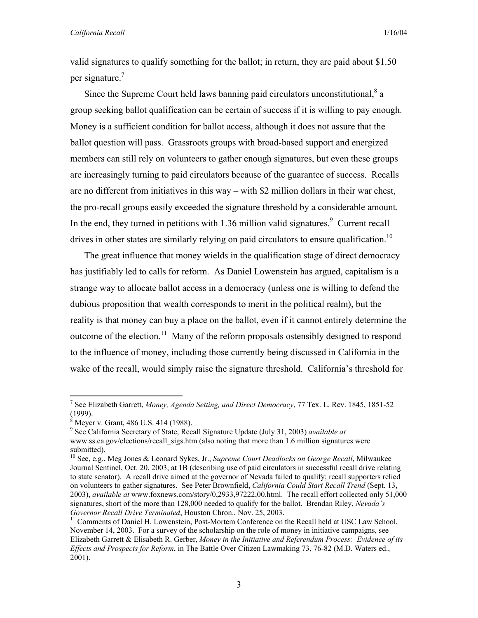valid signatures to qualify something for the ballot; in return, they are paid about \$1.50 per signature.<sup>7</sup>

Since the Supreme Court held laws banning paid circulators unconstitutional, $^8$  a group seeking ballot qualification can be certain of success if it is willing to pay enough. Money is a sufficient condition for ballot access, although it does not assure that the ballot question will pass. Grassroots groups with broad-based support and energized members can still rely on volunteers to gather enough signatures, but even these groups are increasingly turning to paid circulators because of the guarantee of success. Recalls are no different from initiatives in this way – with \$2 million dollars in their war chest, the pro-recall groups easily exceeded the signature threshold by a considerable amount. In the end, they turned in petitions with  $1.36$  million valid signatures.<sup>9</sup> Current recall drives in other states are similarly relying on paid circulators to ensure qualification.<sup>10</sup>

The great influence that money wields in the qualification stage of direct democracy has justifiably led to calls for reform. As Daniel Lowenstein has argued, capitalism is a strange way to allocate ballot access in a democracy (unless one is willing to defend the dubious proposition that wealth corresponds to merit in the political realm), but the reality is that money can buy a place on the ballot, even if it cannot entirely determine the outcome of the election.<sup>11</sup> Many of the reform proposals ostensibly designed to respond to the influence of money, including those currently being discussed in California in the wake of the recall, would simply raise the signature threshold. California's threshold for

1

<sup>7</sup> See Elizabeth Garrett, *Money, Agenda Setting, and Direct Democracy*, 77 Tex. L. Rev. 1845, 1851-52 (1999).

<sup>8</sup> Meyer v. Grant, 486 U.S. 414 (1988).

<sup>9</sup> See California Secretary of State, Recall Signature Update (July 31, 2003) *available at*  www.ss.ca.gov/elections/recall\_sigs.htm (also noting that more than 1.6 million signatures were submitted).

<sup>10</sup> See, e.g., Meg Jones & Leonard Sykes, Jr., *Supreme Court Deadlocks on George Recall*, Milwaukee Journal Sentinel, Oct. 20, 2003, at 1B (describing use of paid circulators in successful recall drive relating to state senator). A recall drive aimed at the governor of Nevada failed to qualify; recall supporters relied on volunteers to gather signatures. See Peter Brownfield, *California Could Start Recall Trend* (Sept. 13, 2003), *available at* www.foxnews.com/story/0,2933,97222,00.html. The recall effort collected only 51,000 signatures, short of the more than 128,000 needed to qualify for the ballot. Brendan Riley, *Nevada's Governor Recall Drive Terminated*, Houston Chron., Nov. 25, 2003.<br><sup>11</sup> Comments of Daniel H. Lowenstein, Post-Mortem Conference on the Recall held at USC Law School,

November 14, 2003. For a survey of the scholarship on the role of money in initiative campaigns, see Elizabeth Garrett & Elisabeth R. Gerber, *Money in the Initiative and Referendum Process: Evidence of its Effects and Prospects for Reform*, in The Battle Over Citizen Lawmaking 73, 76-82 (M.D. Waters ed., 2001).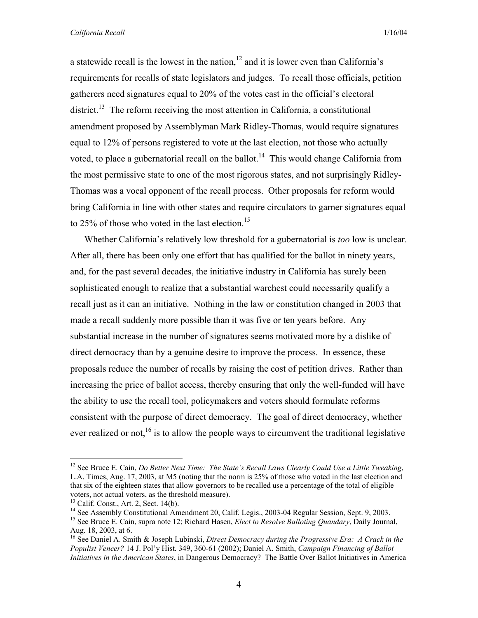a statewide recall is the lowest in the nation,  $12$  and it is lower even than California's requirements for recalls of state legislators and judges. To recall those officials, petition gatherers need signatures equal to 20% of the votes cast in the official's electoral district.<sup>13</sup> The reform receiving the most attention in California, a constitutional amendment proposed by Assemblyman Mark Ridley-Thomas, would require signatures equal to 12% of persons registered to vote at the last election, not those who actually voted, to place a gubernatorial recall on the ballot.<sup>14</sup> This would change California from the most permissive state to one of the most rigorous states, and not surprisingly Ridley-Thomas was a vocal opponent of the recall process. Other proposals for reform would bring California in line with other states and require circulators to garner signatures equal to 25% of those who voted in the last election.<sup>15</sup>

Whether California's relatively low threshold for a gubernatorial is *too* low is unclear. After all, there has been only one effort that has qualified for the ballot in ninety years, and, for the past several decades, the initiative industry in California has surely been sophisticated enough to realize that a substantial warchest could necessarily qualify a recall just as it can an initiative. Nothing in the law or constitution changed in 2003 that made a recall suddenly more possible than it was five or ten years before. Any substantial increase in the number of signatures seems motivated more by a dislike of direct democracy than by a genuine desire to improve the process. In essence, these proposals reduce the number of recalls by raising the cost of petition drives. Rather than increasing the price of ballot access, thereby ensuring that only the well-funded will have the ability to use the recall tool, policymakers and voters should formulate reforms consistent with the purpose of direct democracy. The goal of direct democracy, whether ever realized or not,<sup>16</sup> is to allow the people ways to circumvent the traditional legislative

<sup>&</sup>lt;sup>12</sup> See Bruce E. Cain, *Do Better Next Time: The State's Recall Laws Clearly Could Use a Little Tweaking*, L.A. Times, Aug. 17, 2003, at M5 (noting that the norm is 25% of those who voted in the last election and that six of the eighteen states that allow governors to be recalled use a percentage of the total of eligible voters, not actual voters, as the threshold measure).  $^{13}$  Calif. Const., Art. 2, Sect. 14(b).

<sup>&</sup>lt;sup>14</sup> See Assembly Constitutional Amendment 20, Calif. Legis., 2003-04 Regular Session, Sept. 9, 2003.

<sup>&</sup>lt;sup>15</sup> See Bruce E. Cain, supra note 12; Richard Hasen, *Elect to Resolve Balloting Quandary*, Daily Journal, Aug. 18, 2003, at 6.

<sup>16</sup> See Daniel A. Smith & Joseph Lubinski, *Direct Democracy during the Progressive Era: A Crack in the Populist Veneer?* 14 J. Pol'y Hist. 349, 360-61 (2002); Daniel A. Smith, *Campaign Financing of Ballot Initiatives in the American States*, in Dangerous Democracy? The Battle Over Ballot Initiatives in America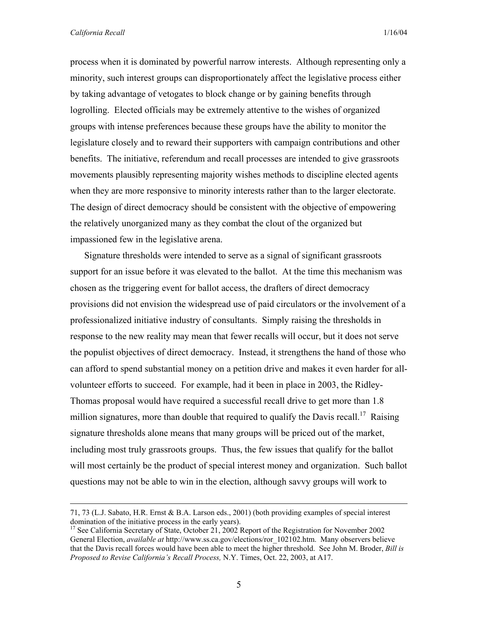process when it is dominated by powerful narrow interests. Although representing only a minority, such interest groups can disproportionately affect the legislative process either by taking advantage of vetogates to block change or by gaining benefits through logrolling. Elected officials may be extremely attentive to the wishes of organized groups with intense preferences because these groups have the ability to monitor the legislature closely and to reward their supporters with campaign contributions and other benefits. The initiative, referendum and recall processes are intended to give grassroots movements plausibly representing majority wishes methods to discipline elected agents when they are more responsive to minority interests rather than to the larger electorate. The design of direct democracy should be consistent with the objective of empowering the relatively unorganized many as they combat the clout of the organized but impassioned few in the legislative arena.

Signature thresholds were intended to serve as a signal of significant grassroots support for an issue before it was elevated to the ballot. At the time this mechanism was chosen as the triggering event for ballot access, the drafters of direct democracy provisions did not envision the widespread use of paid circulators or the involvement of a professionalized initiative industry of consultants. Simply raising the thresholds in response to the new reality may mean that fewer recalls will occur, but it does not serve the populist objectives of direct democracy. Instead, it strengthens the hand of those who can afford to spend substantial money on a petition drive and makes it even harder for allvolunteer efforts to succeed. For example, had it been in place in 2003, the Ridley-Thomas proposal would have required a successful recall drive to get more than 1.8 million signatures, more than double that required to qualify the Davis recall.<sup>17</sup> Raising signature thresholds alone means that many groups will be priced out of the market, including most truly grassroots groups. Thus, the few issues that qualify for the ballot will most certainly be the product of special interest money and organization. Such ballot questions may not be able to win in the election, although savvy groups will work to

 <sup>71, 73 (</sup>L.J. Sabato, H.R. Ernst & B.A. Larson eds., 2001) (both providing examples of special interest domination of the initiative process in the early years).

<sup>&</sup>lt;sup>17</sup> See California Secretary of State, October 21, 2002 Report of the Registration for November 2002 General Election, *available at* http://www.ss.ca.gov/elections/ror\_102102.htm. Many observers believe that the Davis recall forces would have been able to meet the higher threshold. See John M. Broder, *Bill is Proposed to Revise California's Recall Process,* N.Y. Times, Oct. 22, 2003, at A17.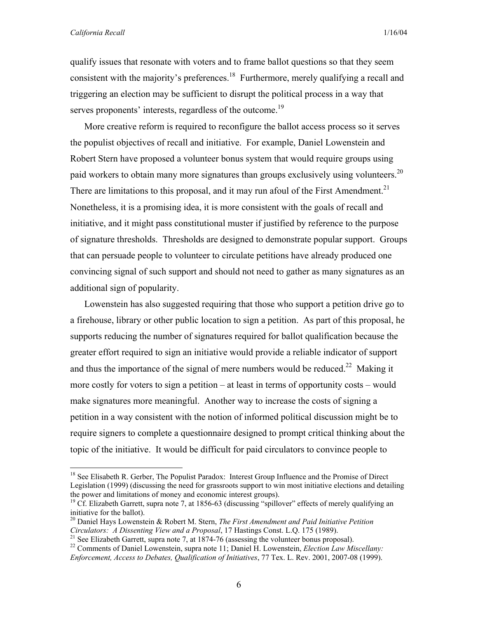1

qualify issues that resonate with voters and to frame ballot questions so that they seem consistent with the majority's preferences.<sup>18</sup> Furthermore, merely qualifying a recall and triggering an election may be sufficient to disrupt the political process in a way that serves proponents' interests, regardless of the outcome.<sup>19</sup>

More creative reform is required to reconfigure the ballot access process so it serves the populist objectives of recall and initiative. For example, Daniel Lowenstein and Robert Stern have proposed a volunteer bonus system that would require groups using paid workers to obtain many more signatures than groups exclusively using volunteers.<sup>20</sup> There are limitations to this proposal, and it may run afoul of the First Amendment.<sup>21</sup> Nonetheless, it is a promising idea, it is more consistent with the goals of recall and initiative, and it might pass constitutional muster if justified by reference to the purpose of signature thresholds. Thresholds are designed to demonstrate popular support. Groups that can persuade people to volunteer to circulate petitions have already produced one convincing signal of such support and should not need to gather as many signatures as an additional sign of popularity.

Lowenstein has also suggested requiring that those who support a petition drive go to a firehouse, library or other public location to sign a petition. As part of this proposal, he supports reducing the number of signatures required for ballot qualification because the greater effort required to sign an initiative would provide a reliable indicator of support and thus the importance of the signal of mere numbers would be reduced.<sup>22</sup> Making it more costly for voters to sign a petition – at least in terms of opportunity costs – would make signatures more meaningful. Another way to increase the costs of signing a petition in a way consistent with the notion of informed political discussion might be to require signers to complete a questionnaire designed to prompt critical thinking about the topic of the initiative. It would be difficult for paid circulators to convince people to

<sup>&</sup>lt;sup>18</sup> See Elisabeth R. Gerber, The Populist Paradox: Interest Group Influence and the Promise of Direct Legislation (1999) (discussing the need for grassroots support to win most initiative elections and detailing the power and limitations of money and economic interest groups).

<sup>&</sup>lt;sup>19</sup> Cf. Elizabeth Garrett, supra note 7, at 1856-63 (discussing "spillover" effects of merely qualifying an initiative for the ballot).

<sup>20</sup> Daniel Hays Lowenstein & Robert M. Stern, *The First Amendment and Paid Initiative Petition*  Circulators: A Dissenting View and a Proposal, 17 Hastings Const. L.Q. 175 (1989).<br><sup>21</sup> See Elizabeth Garrett, supra note 7, at 1874-76 (assessing the volunteer bonus proposal).<br><sup>22</sup> Comments of Daniel Lowenstein, supra no

*Enforcement, Access to Debates, Qualification of Initiatives*, 77 Tex. L. Rev. 2001, 2007-08 (1999).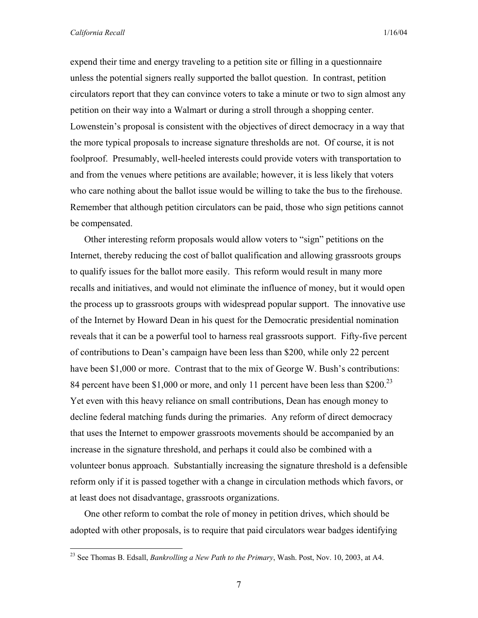expend their time and energy traveling to a petition site or filling in a questionnaire unless the potential signers really supported the ballot question. In contrast, petition circulators report that they can convince voters to take a minute or two to sign almost any petition on their way into a Walmart or during a stroll through a shopping center. Lowenstein's proposal is consistent with the objectives of direct democracy in a way that the more typical proposals to increase signature thresholds are not. Of course, it is not foolproof. Presumably, well-heeled interests could provide voters with transportation to and from the venues where petitions are available; however, it is less likely that voters who care nothing about the ballot issue would be willing to take the bus to the firehouse. Remember that although petition circulators can be paid, those who sign petitions cannot be compensated.

Other interesting reform proposals would allow voters to "sign" petitions on the Internet, thereby reducing the cost of ballot qualification and allowing grassroots groups to qualify issues for the ballot more easily. This reform would result in many more recalls and initiatives, and would not eliminate the influence of money, but it would open the process up to grassroots groups with widespread popular support. The innovative use of the Internet by Howard Dean in his quest for the Democratic presidential nomination reveals that it can be a powerful tool to harness real grassroots support. Fifty-five percent of contributions to Dean's campaign have been less than \$200, while only 22 percent have been \$1,000 or more. Contrast that to the mix of George W. Bush's contributions: 84 percent have been \$1,000 or more, and only 11 percent have been less than \$200.<sup>23</sup> Yet even with this heavy reliance on small contributions, Dean has enough money to decline federal matching funds during the primaries. Any reform of direct democracy that uses the Internet to empower grassroots movements should be accompanied by an increase in the signature threshold, and perhaps it could also be combined with a volunteer bonus approach. Substantially increasing the signature threshold is a defensible reform only if it is passed together with a change in circulation methods which favors, or at least does not disadvantage, grassroots organizations.

One other reform to combat the role of money in petition drives, which should be adopted with other proposals, is to require that paid circulators wear badges identifying

<sup>23</sup> See Thomas B. Edsall, *Bankrolling a New Path to the Primary*, Wash. Post, Nov. 10, 2003, at A4.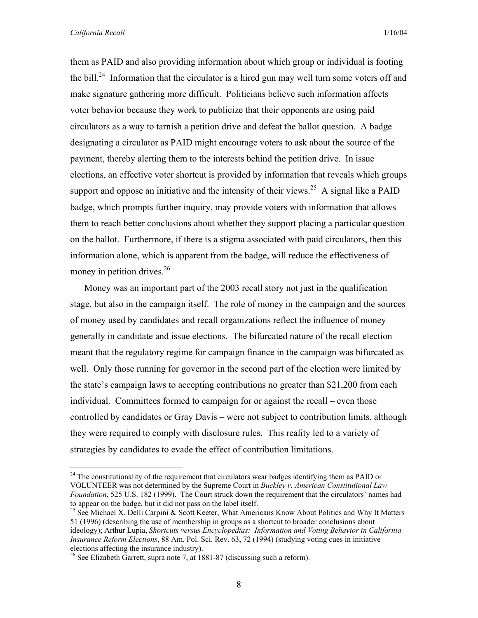1

them as PAID and also providing information about which group or individual is footing the bill.<sup>24</sup> Information that the circulator is a hired gun may well turn some voters off and make signature gathering more difficult. Politicians believe such information affects voter behavior because they work to publicize that their opponents are using paid circulators as a way to tarnish a petition drive and defeat the ballot question. A badge designating a circulator as PAID might encourage voters to ask about the source of the payment, thereby alerting them to the interests behind the petition drive. In issue elections, an effective voter shortcut is provided by information that reveals which groups support and oppose an initiative and the intensity of their views.<sup>25</sup> A signal like a PAID badge, which prompts further inquiry, may provide voters with information that allows them to reach better conclusions about whether they support placing a particular question on the ballot. Furthermore, if there is a stigma associated with paid circulators, then this information alone, which is apparent from the badge, will reduce the effectiveness of money in petition drives.<sup>26</sup>

Money was an important part of the 2003 recall story not just in the qualification stage, but also in the campaign itself. The role of money in the campaign and the sources of money used by candidates and recall organizations reflect the influence of money generally in candidate and issue elections. The bifurcated nature of the recall election meant that the regulatory regime for campaign finance in the campaign was bifurcated as well. Only those running for governor in the second part of the election were limited by the state's campaign laws to accepting contributions no greater than \$21,200 from each individual. Committees formed to campaign for or against the recall – even those controlled by candidates or Gray Davis – were not subject to contribution limits, although they were required to comply with disclosure rules. This reality led to a variety of strategies by candidates to evade the effect of contribution limitations.

 $^{24}$  The constitutionality of the requirement that circulators wear badges identifying them as PAID or VOLUNTEER was not determined by the Supreme Court in *Buckley v. American Constitutional Law Foundation*, 525 U.S. 182 (1999). The Court struck down the requirement that the circulators' names had to appear on the badge, but it did not pass on the label itself.

<sup>&</sup>lt;sup>25</sup> See Michael X. Delli Carpini & Scott Keeter, What Americans Know About Politics and Why It Matters 51 (1996) (describing the use of membership in groups as a shortcut to broader conclusions about ideology); Arthur Lupia, *Shortcuts versus Encyclopedias: Information and Voting Behavior in California Insurance Reform Elections*, 88 Am. Pol. Sci. Rev. 63, 72 (1994) (studying voting cues in initiative elections affecting the insurance industry).

<sup>26</sup> See Elizabeth Garrett, supra note 7, at 1881-87 (discussing such a reform).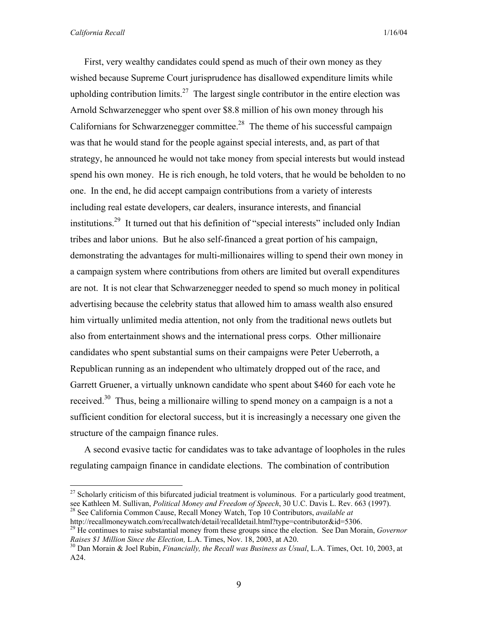First, very wealthy candidates could spend as much of their own money as they wished because Supreme Court jurisprudence has disallowed expenditure limits while upholding contribution limits.<sup>27</sup> The largest single contributor in the entire election was Arnold Schwarzenegger who spent over \$8.8 million of his own money through his Californians for Schwarzenegger committee.<sup>28</sup> The theme of his successful campaign was that he would stand for the people against special interests, and, as part of that strategy, he announced he would not take money from special interests but would instead spend his own money. He is rich enough, he told voters, that he would be beholden to no one. In the end, he did accept campaign contributions from a variety of interests including real estate developers, car dealers, insurance interests, and financial institutions.29 It turned out that his definition of "special interests" included only Indian tribes and labor unions. But he also self-financed a great portion of his campaign, demonstrating the advantages for multi-millionaires willing to spend their own money in a campaign system where contributions from others are limited but overall expenditures are not. It is not clear that Schwarzenegger needed to spend so much money in political advertising because the celebrity status that allowed him to amass wealth also ensured him virtually unlimited media attention, not only from the traditional news outlets but also from entertainment shows and the international press corps. Other millionaire candidates who spent substantial sums on their campaigns were Peter Ueberroth, a Republican running as an independent who ultimately dropped out of the race, and Garrett Gruener, a virtually unknown candidate who spent about \$460 for each vote he received.30 Thus, being a millionaire willing to spend money on a campaign is a not a sufficient condition for electoral success, but it is increasingly a necessary one given the structure of the campaign finance rules.

A second evasive tactic for candidates was to take advantage of loopholes in the rules regulating campaign finance in candidate elections. The combination of contribution

<sup>&</sup>lt;sup>27</sup> Scholarly criticism of this bifurcated judicial treatment is voluminous. For a particularly good treatment, see Kathleen M. Sullivan, *Political Money and Freedom of Speech*, 30 U.C. Davis L. Rev. 663 (1997). <sup>28</sup> See California Common Cause, Recall Money Watch, Top 10 Contributors, *available at* 

http://recallmoneywatch.com/recallwatch/detail/recalldetail.html?type=contributor&id=5306.<br><sup>29</sup> He continues to raise substantial money from these groups since the election. See Dan Morain, *Governor Raises \$1 Million Si* 

<sup>&</sup>lt;sup>30</sup> Dan Morain & Joel Rubin, *Financially, the Recall was Business as Usual*, L.A. Times, Oct. 10, 2003, at A24.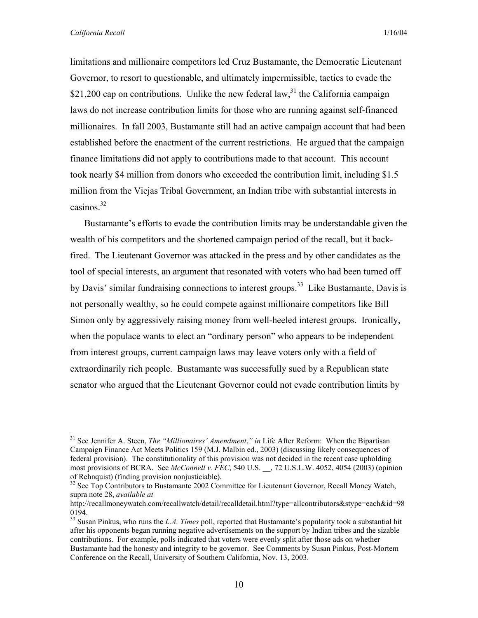limitations and millionaire competitors led Cruz Bustamante, the Democratic Lieutenant Governor, to resort to questionable, and ultimately impermissible, tactics to evade the \$21,200 cap on contributions. Unlike the new federal law,  $3<sup>1</sup>$  the California campaign laws do not increase contribution limits for those who are running against self-financed millionaires. In fall 2003, Bustamante still had an active campaign account that had been established before the enactment of the current restrictions. He argued that the campaign finance limitations did not apply to contributions made to that account. This account took nearly \$4 million from donors who exceeded the contribution limit, including \$1.5 million from the Viejas Tribal Government, an Indian tribe with substantial interests in casinos.32

Bustamante's efforts to evade the contribution limits may be understandable given the wealth of his competitors and the shortened campaign period of the recall, but it backfired. The Lieutenant Governor was attacked in the press and by other candidates as the tool of special interests, an argument that resonated with voters who had been turned off by Davis' similar fundraising connections to interest groups.<sup>33</sup> Like Bustamante, Davis is not personally wealthy, so he could compete against millionaire competitors like Bill Simon only by aggressively raising money from well-heeled interest groups. Ironically, when the populace wants to elect an "ordinary person" who appears to be independent from interest groups, current campaign laws may leave voters only with a field of extraordinarily rich people. Bustamante was successfully sued by a Republican state senator who argued that the Lieutenant Governor could not evade contribution limits by

<sup>31</sup> See Jennifer A. Steen, *The "Millionaires' Amendment*,*" in* Life After Reform: When the Bipartisan Campaign Finance Act Meets Politics 159 (M.J. Malbin ed., 2003) (discussing likely consequences of federal provision). The constitutionality of this provision was not decided in the recent case upholding most provisions of BCRA. See *McConnell v. FEC*, 540 U.S. \_\_, 72 U.S.L.W. 4052, 4054 (2003) (opinion of Rehnquist) (finding provision nonjusticiable).

<sup>&</sup>lt;sup>32</sup> See Top Contributors to Bustamante 2002 Committee for Lieutenant Governor, Recall Money Watch, supra note 28, *available at* 

http://recallmoneywatch.com/recallwatch/detail/recalldetail.html?type=allcontributors&stype=each&id=98 0194.

<sup>33</sup> Susan Pinkus, who runs the *L.A. Times* poll, reported that Bustamante's popularity took a substantial hit after his opponents began running negative advertisements on the support by Indian tribes and the sizable contributions. For example, polls indicated that voters were evenly split after those ads on whether Bustamante had the honesty and integrity to be governor. See Comments by Susan Pinkus, Post-Mortem Conference on the Recall, University of Southern California, Nov. 13, 2003.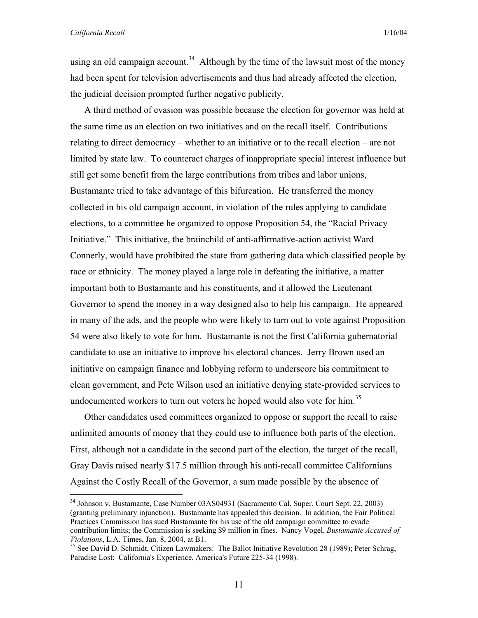<u>.</u>

using an old campaign account.<sup>34</sup> Although by the time of the lawsuit most of the money had been spent for television advertisements and thus had already affected the election, the judicial decision prompted further negative publicity.

A third method of evasion was possible because the election for governor was held at the same time as an election on two initiatives and on the recall itself. Contributions relating to direct democracy – whether to an initiative or to the recall election – are not limited by state law. To counteract charges of inappropriate special interest influence but still get some benefit from the large contributions from tribes and labor unions, Bustamante tried to take advantage of this bifurcation. He transferred the money collected in his old campaign account, in violation of the rules applying to candidate elections, to a committee he organized to oppose Proposition 54, the "Racial Privacy Initiative." This initiative, the brainchild of anti-affirmative-action activist Ward Connerly, would have prohibited the state from gathering data which classified people by race or ethnicity. The money played a large role in defeating the initiative, a matter important both to Bustamante and his constituents, and it allowed the Lieutenant Governor to spend the money in a way designed also to help his campaign. He appeared in many of the ads, and the people who were likely to turn out to vote against Proposition 54 were also likely to vote for him. Bustamante is not the first California gubernatorial candidate to use an initiative to improve his electoral chances. Jerry Brown used an initiative on campaign finance and lobbying reform to underscore his commitment to clean government, and Pete Wilson used an initiative denying state-provided services to undocumented workers to turn out voters he hoped would also vote for him.<sup>35</sup>

Other candidates used committees organized to oppose or support the recall to raise unlimited amounts of money that they could use to influence both parts of the election. First, although not a candidate in the second part of the election, the target of the recall, Gray Davis raised nearly \$17.5 million through his anti-recall committee Californians Against the Costly Recall of the Governor, a sum made possible by the absence of

<sup>&</sup>lt;sup>34</sup> Johnson v. Bustamante, Case Number 03AS04931 (Sacramento Cal. Super. Court Sept. 22, 2003) (granting preliminary injunction). Bustamante has appealed this decision. In addition, the Fair Political Practices Commission has sued Bustamante for his use of the old campaign committee to evade contribution limits; the Commission is seeking \$9 million in fines. Nancy Vogel, *Bustamante Accused of* 

<sup>&</sup>lt;sup>35</sup> See David D. Schmidt, Citizen Lawmakers: The Ballot Initiative Revolution 28 (1989); Peter Schrag, Paradise Lost: California's Experience, America's Future 225-34 (1998).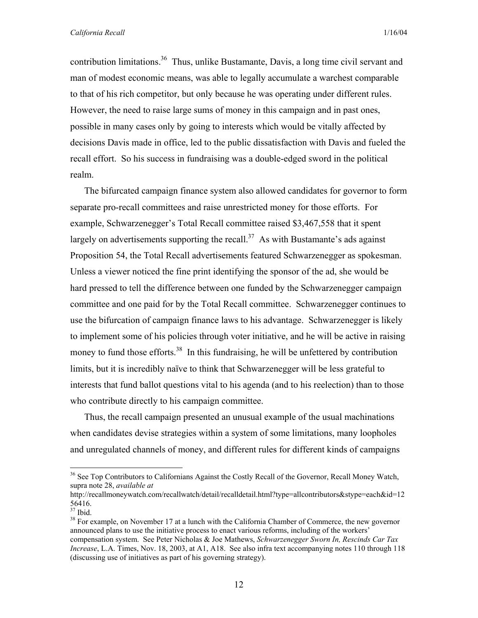contribution limitations.<sup>36</sup> Thus, unlike Bustamante, Davis, a long time civil servant and man of modest economic means, was able to legally accumulate a warchest comparable to that of his rich competitor, but only because he was operating under different rules. However, the need to raise large sums of money in this campaign and in past ones, possible in many cases only by going to interests which would be vitally affected by decisions Davis made in office, led to the public dissatisfaction with Davis and fueled the recall effort. So his success in fundraising was a double-edged sword in the political realm.

The bifurcated campaign finance system also allowed candidates for governor to form separate pro-recall committees and raise unrestricted money for those efforts. For example, Schwarzenegger's Total Recall committee raised \$3,467,558 that it spent largely on advertisements supporting the recall.<sup>37</sup> As with Bustamante's ads against Proposition 54, the Total Recall advertisements featured Schwarzenegger as spokesman. Unless a viewer noticed the fine print identifying the sponsor of the ad, she would be hard pressed to tell the difference between one funded by the Schwarzenegger campaign committee and one paid for by the Total Recall committee. Schwarzenegger continues to use the bifurcation of campaign finance laws to his advantage. Schwarzenegger is likely to implement some of his policies through voter initiative, and he will be active in raising money to fund those efforts.<sup>38</sup> In this fundraising, he will be unfettered by contribution limits, but it is incredibly naïve to think that Schwarzenegger will be less grateful to interests that fund ballot questions vital to his agenda (and to his reelection) than to those who contribute directly to his campaign committee.

Thus, the recall campaign presented an unusual example of the usual machinations when candidates devise strategies within a system of some limitations, many loopholes and unregulated channels of money, and different rules for different kinds of campaigns

1

<sup>&</sup>lt;sup>36</sup> See Top Contributors to Californians Against the Costly Recall of the Governor, Recall Money Watch, supra note 28, *available at* 

http://recallmoneywatch.com/recallwatch/detail/recalldetail.html?type=allcontributors&stype=each&id=12 56416.

<sup>37</sup> Ibid.

<sup>&</sup>lt;sup>38</sup> For example, on November 17 at a lunch with the California Chamber of Commerce, the new governor announced plans to use the initiative process to enact various reforms, including of the workers' compensation system. See Peter Nicholas & Joe Mathews, *Schwarzenegger Sworn In, Rescinds Car Tax Increase*, L.A. Times, Nov. 18, 2003, at A1, A18. See also infra text accompanying notes 110 through 118 (discussing use of initiatives as part of his governing strategy).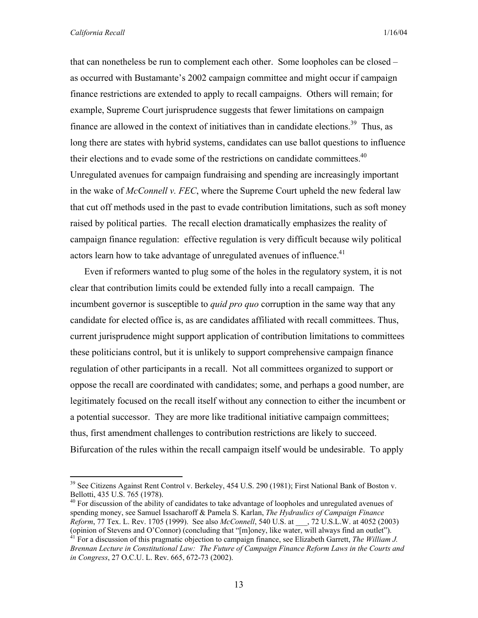that can nonetheless be run to complement each other. Some loopholes can be closed – as occurred with Bustamante's 2002 campaign committee and might occur if campaign finance restrictions are extended to apply to recall campaigns. Others will remain; for example, Supreme Court jurisprudence suggests that fewer limitations on campaign finance are allowed in the context of initiatives than in candidate elections.<sup>39</sup> Thus, as long there are states with hybrid systems, candidates can use ballot questions to influence their elections and to evade some of the restrictions on candidate committees.<sup>40</sup> Unregulated avenues for campaign fundraising and spending are increasingly important in the wake of *McConnell v. FEC*, where the Supreme Court upheld the new federal law that cut off methods used in the past to evade contribution limitations, such as soft money raised by political parties. The recall election dramatically emphasizes the reality of campaign finance regulation: effective regulation is very difficult because wily political actors learn how to take advantage of unregulated avenues of influence.<sup>41</sup>

Even if reformers wanted to plug some of the holes in the regulatory system, it is not clear that contribution limits could be extended fully into a recall campaign. The incumbent governor is susceptible to *quid pro quo* corruption in the same way that any candidate for elected office is, as are candidates affiliated with recall committees. Thus, current jurisprudence might support application of contribution limitations to committees these politicians control, but it is unlikely to support comprehensive campaign finance regulation of other participants in a recall. Not all committees organized to support or oppose the recall are coordinated with candidates; some, and perhaps a good number, are legitimately focused on the recall itself without any connection to either the incumbent or a potential successor. They are more like traditional initiative campaign committees; thus, first amendment challenges to contribution restrictions are likely to succeed. Bifurcation of the rules within the recall campaign itself would be undesirable. To apply

<sup>&</sup>lt;sup>39</sup> See Citizens Against Rent Control v. Berkeley, 454 U.S. 290 (1981); First National Bank of Boston v. Bellotti, 435 U.S. 765 (1978).

 $40$  For discussion of the ability of candidates to take advantage of loopholes and unregulated avenues of spending money, see Samuel Issacharoff & Pamela S. Karlan, *The Hydraulics of Campaign Finance Reform*, 77 Tex. L. Rev. 1705 (1999). See also *McConnell*, 540 U.S. at \_\_\_, 72 U.S.L.W. at 4052 (2003) (opinion of Stevens and O'Connor) (concluding that "[m]oney, like water, will always find an outlet"). 41 For a discussion of this pragmatic objection to campaign finance, see Elizabeth Garrett, *The William J.* 

*Brennan Lecture in Constitutional Law: The Future of Campaign Finance Reform Laws in the Courts and in Congress*, 27 O.C.U. L. Rev. 665, 672-73 (2002).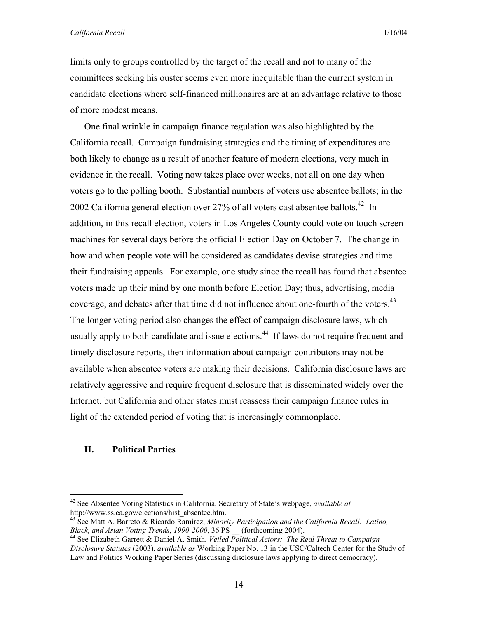*California Recall* 1/16/04

limits only to groups controlled by the target of the recall and not to many of the committees seeking his ouster seems even more inequitable than the current system in candidate elections where self-financed millionaires are at an advantage relative to those of more modest means.

One final wrinkle in campaign finance regulation was also highlighted by the California recall. Campaign fundraising strategies and the timing of expenditures are both likely to change as a result of another feature of modern elections, very much in evidence in the recall. Voting now takes place over weeks, not all on one day when voters go to the polling booth. Substantial numbers of voters use absentee ballots; in the 2002 California general election over 27% of all voters cast absentee ballots.<sup>42</sup> In addition, in this recall election, voters in Los Angeles County could vote on touch screen machines for several days before the official Election Day on October 7. The change in how and when people vote will be considered as candidates devise strategies and time their fundraising appeals. For example, one study since the recall has found that absentee voters made up their mind by one month before Election Day; thus, advertising, media coverage, and debates after that time did not influence about one-fourth of the voters.<sup>43</sup> The longer voting period also changes the effect of campaign disclosure laws, which usually apply to both candidate and issue elections.<sup>44</sup> If laws do not require frequent and timely disclosure reports, then information about campaign contributors may not be available when absentee voters are making their decisions. California disclosure laws are relatively aggressive and require frequent disclosure that is disseminated widely over the Internet, but California and other states must reassess their campaign finance rules in light of the extended period of voting that is increasingly commonplace.

## **II. Political Parties**

<sup>42</sup> See Absentee Voting Statistics in California, Secretary of State's webpage, *available at* http://www.ss.ca.gov/elections/hist\_absentee.htm.

<sup>&</sup>lt;sup>43</sup> See Matt A. Barreto & Ricardo Ramirez, *Minority Participation and the California Recall: Latino, Black, and Asian Voting Trends, 1990-2000, 36 PS (forthcoming 2004).* 

<sup>&</sup>lt;sup>44</sup> See Elizabeth Garrett & Daniel A. Smith, *Veiled Political Actors: The Real Threat to Campaign Disclosure Statutes* (2003), *available as* Working Paper No. 13 in the USC/Caltech Center for the Study of Law and Politics Working Paper Series (discussing disclosure laws applying to direct democracy).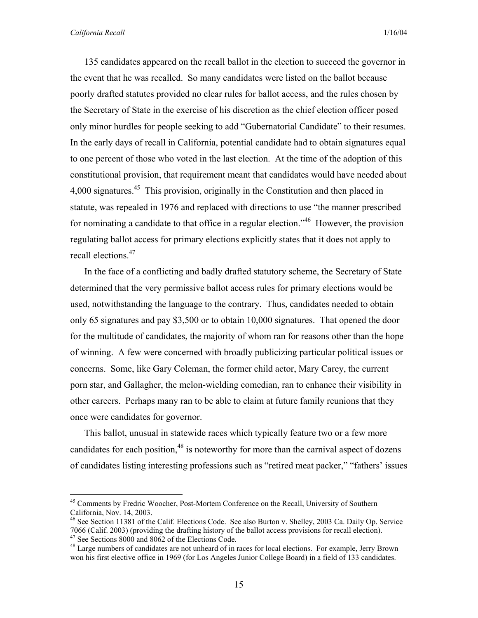135 candidates appeared on the recall ballot in the election to succeed the governor in the event that he was recalled. So many candidates were listed on the ballot because poorly drafted statutes provided no clear rules for ballot access, and the rules chosen by the Secretary of State in the exercise of his discretion as the chief election officer posed only minor hurdles for people seeking to add "Gubernatorial Candidate" to their resumes. In the early days of recall in California, potential candidate had to obtain signatures equal to one percent of those who voted in the last election. At the time of the adoption of this constitutional provision, that requirement meant that candidates would have needed about 4,000 signatures.<sup>45</sup> This provision, originally in the Constitution and then placed in statute, was repealed in 1976 and replaced with directions to use "the manner prescribed for nominating a candidate to that office in a regular election.<sup>146</sup> However, the provision regulating ballot access for primary elections explicitly states that it does not apply to recall elections.<sup>47</sup>

In the face of a conflicting and badly drafted statutory scheme, the Secretary of State determined that the very permissive ballot access rules for primary elections would be used, notwithstanding the language to the contrary. Thus, candidates needed to obtain only 65 signatures and pay \$3,500 or to obtain 10,000 signatures. That opened the door for the multitude of candidates, the majority of whom ran for reasons other than the hope of winning. A few were concerned with broadly publicizing particular political issues or concerns. Some, like Gary Coleman, the former child actor, Mary Carey, the current porn star, and Gallagher, the melon-wielding comedian, ran to enhance their visibility in other careers. Perhaps many ran to be able to claim at future family reunions that they once were candidates for governor.

This ballot, unusual in statewide races which typically feature two or a few more candidates for each position, $48$  is noteworthy for more than the carnival aspect of dozens of candidates listing interesting professions such as "retired meat packer," "fathers' issues

<sup>&</sup>lt;sup>45</sup> Comments by Fredric Woocher, Post-Mortem Conference on the Recall, University of Southern California, Nov. 14, 2003.

<sup>&</sup>lt;sup>46</sup> See Section 11381 of the Calif. Elections Code. See also Burton v. Shelley, 2003 Ca. Daily Op. Service 7066 (Calif. 2003) (providing the drafting history of the ballot access provisions for recall election). 47 See Sections 8000 and 8062 of the Elections Code.

<sup>&</sup>lt;sup>48</sup> Large numbers of candidates are not unheard of in races for local elections. For example, Jerry Brown won his first elective office in 1969 (for Los Angeles Junior College Board) in a field of 133 candidates.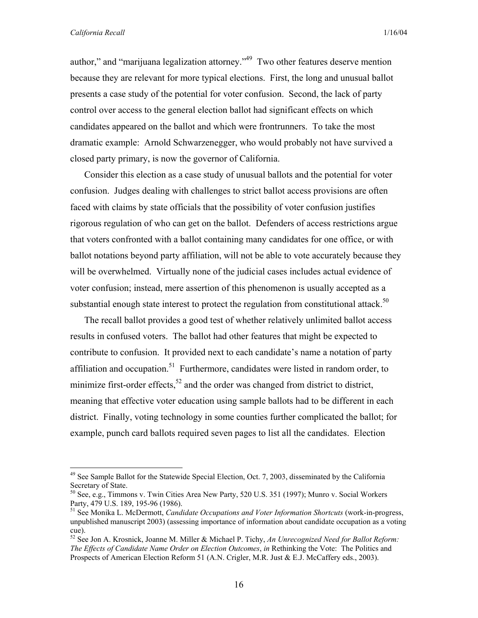1

author," and "marijuana legalization attorney."49 Two other features deserve mention because they are relevant for more typical elections. First, the long and unusual ballot presents a case study of the potential for voter confusion. Second, the lack of party control over access to the general election ballot had significant effects on which candidates appeared on the ballot and which were frontrunners. To take the most dramatic example: Arnold Schwarzenegger, who would probably not have survived a closed party primary, is now the governor of California.

Consider this election as a case study of unusual ballots and the potential for voter confusion. Judges dealing with challenges to strict ballot access provisions are often faced with claims by state officials that the possibility of voter confusion justifies rigorous regulation of who can get on the ballot. Defenders of access restrictions argue that voters confronted with a ballot containing many candidates for one office, or with ballot notations beyond party affiliation, will not be able to vote accurately because they will be overwhelmed. Virtually none of the judicial cases includes actual evidence of voter confusion; instead, mere assertion of this phenomenon is usually accepted as a substantial enough state interest to protect the regulation from constitutional attack.<sup>50</sup>

The recall ballot provides a good test of whether relatively unlimited ballot access results in confused voters. The ballot had other features that might be expected to contribute to confusion. It provided next to each candidate's name a notation of party affiliation and occupation.<sup>51</sup> Furthermore, candidates were listed in random order, to minimize first-order effects,<sup>52</sup> and the order was changed from district to district, meaning that effective voter education using sample ballots had to be different in each district. Finally, voting technology in some counties further complicated the ballot; for example, punch card ballots required seven pages to list all the candidates. Election

<sup>&</sup>lt;sup>49</sup> See Sample Ballot for the Statewide Special Election, Oct. 7, 2003, disseminated by the California Secretary of State.

<sup>50</sup> See, e.g., Timmons v. Twin Cities Area New Party, 520 U.S. 351 (1997); Munro v. Social Workers Party, 479 U.S. 189, 195-96 (1986).

<sup>51</sup> See Monika L. McDermott, *Candidate Occupations and Voter Information Shortcuts* (work-in-progress, unpublished manuscript 2003) (assessing importance of information about candidate occupation as a voting cue).

<sup>52</sup> See Jon A. Krosnick, Joanne M. Miller & Michael P. Tichy, *An Unrecognized Need for Ballot Reform: The Effects of Candidate Name Order on Election Outcomes*, *in* Rethinking the Vote: The Politics and Prospects of American Election Reform 51 (A.N. Crigler, M.R. Just & E.J. McCaffery eds., 2003).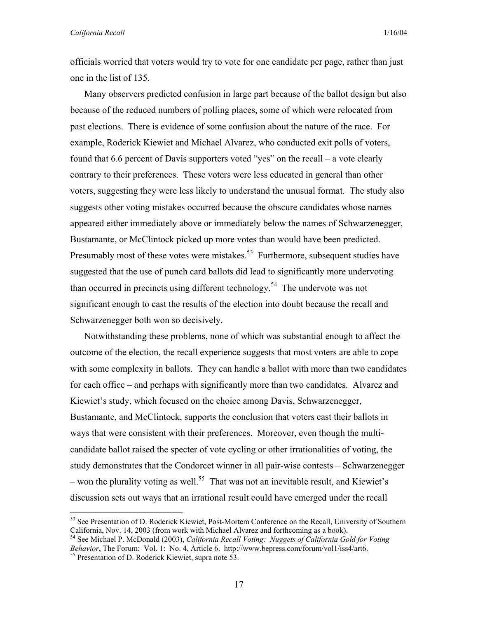officials worried that voters would try to vote for one candidate per page, rather than just one in the list of 135.

Many observers predicted confusion in large part because of the ballot design but also because of the reduced numbers of polling places, some of which were relocated from past elections. There is evidence of some confusion about the nature of the race. For example, Roderick Kiewiet and Michael Alvarez, who conducted exit polls of voters, found that 6.6 percent of Davis supporters voted "yes" on the recall – a vote clearly contrary to their preferences. These voters were less educated in general than other voters, suggesting they were less likely to understand the unusual format. The study also suggests other voting mistakes occurred because the obscure candidates whose names appeared either immediately above or immediately below the names of Schwarzenegger, Bustamante, or McClintock picked up more votes than would have been predicted. Presumably most of these votes were mistakes.<sup>53</sup> Furthermore, subsequent studies have suggested that the use of punch card ballots did lead to significantly more undervoting than occurred in precincts using different technology.<sup>54</sup> The undervote was not significant enough to cast the results of the election into doubt because the recall and Schwarzenegger both won so decisively.

Notwithstanding these problems, none of which was substantial enough to affect the outcome of the election, the recall experience suggests that most voters are able to cope with some complexity in ballots. They can handle a ballot with more than two candidates for each office – and perhaps with significantly more than two candidates. Alvarez and Kiewiet's study, which focused on the choice among Davis, Schwarzenegger, Bustamante, and McClintock, supports the conclusion that voters cast their ballots in ways that were consistent with their preferences. Moreover, even though the multicandidate ballot raised the specter of vote cycling or other irrationalities of voting, the study demonstrates that the Condorcet winner in all pair-wise contests – Schwarzenegger – won the plurality voting as well.<sup>55</sup> That was not an inevitable result, and Kiewiet's discussion sets out ways that an irrational result could have emerged under the recall

54 See Michael P. McDonald (2003), *California Recall Voting: Nuggets of California Gold for Voting Behavior*, The Forum: Vol. 1: No. 4, Article 6. http://www.bepress.com/forum/vol1/iss4/art6.<br><sup>55</sup> Presentation of D. Roderick Kiewiet, supra note 53.

<sup>&</sup>lt;sup>53</sup> See Presentation of D. Roderick Kiewiet, Post-Mortem Conference on the Recall, University of Southern California, Nov. 14, 2003 (from work with Michael Alvarez and forthcoming as a book).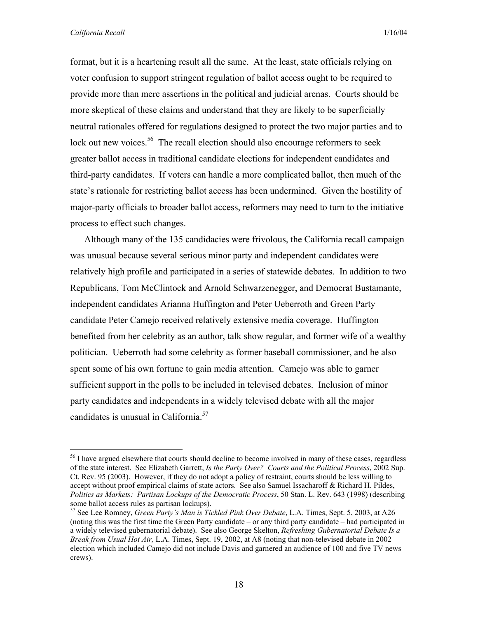format, but it is a heartening result all the same. At the least, state officials relying on voter confusion to support stringent regulation of ballot access ought to be required to provide more than mere assertions in the political and judicial arenas. Courts should be more skeptical of these claims and understand that they are likely to be superficially neutral rationales offered for regulations designed to protect the two major parties and to lock out new voices.<sup>56</sup> The recall election should also encourage reformers to seek greater ballot access in traditional candidate elections for independent candidates and third-party candidates. If voters can handle a more complicated ballot, then much of the state's rationale for restricting ballot access has been undermined. Given the hostility of major-party officials to broader ballot access, reformers may need to turn to the initiative process to effect such changes.

Although many of the 135 candidacies were frivolous, the California recall campaign was unusual because several serious minor party and independent candidates were relatively high profile and participated in a series of statewide debates. In addition to two Republicans, Tom McClintock and Arnold Schwarzenegger, and Democrat Bustamante, independent candidates Arianna Huffington and Peter Ueberroth and Green Party candidate Peter Camejo received relatively extensive media coverage. Huffington benefited from her celebrity as an author, talk show regular, and former wife of a wealthy politician. Ueberroth had some celebrity as former baseball commissioner, and he also spent some of his own fortune to gain media attention. Camejo was able to garner sufficient support in the polls to be included in televised debates. Inclusion of minor party candidates and independents in a widely televised debate with all the major candidates is unusual in California.<sup>57</sup>

<sup>&</sup>lt;sup>56</sup> I have argued elsewhere that courts should decline to become involved in many of these cases, regardless of the state interest. See Elizabeth Garrett, *Is the Party Over? Courts and the Political Process*, 2002 Sup. Ct. Rev. 95 (2003). However, if they do not adopt a policy of restraint, courts should be less willing to accept without proof empirical claims of state actors. See also Samuel Issacharoff & Richard H. Pildes, *Politics as Markets: Partisan Lockups of the Democratic Process*, 50 Stan. L. Rev. 643 (1998) (describing some ballot access rules as partisan lockups).

<sup>57</sup> See Lee Romney, *Green Party's Man is Tickled Pink Over Debate*, L.A. Times, Sept. 5, 2003, at A26 (noting this was the first time the Green Party candidate – or any third party candidate – had participated in a widely televised gubernatorial debate). See also George Skelton, *Refreshing Gubernatorial Debate Is a Break from Usual Hot Air,* L.A. Times, Sept. 19, 2002, at A8 (noting that non-televised debate in 2002 election which included Camejo did not include Davis and garnered an audience of 100 and five TV news crews).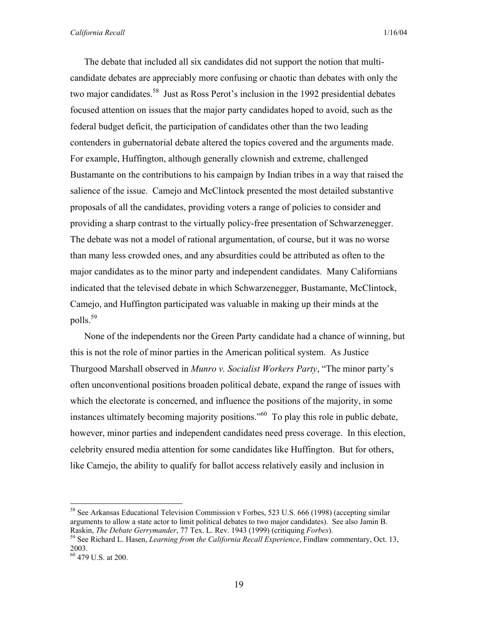The debate that included all six candidates did not support the notion that multicandidate debates are appreciably more confusing or chaotic than debates with only the two major candidates.<sup>58</sup> Just as Ross Perot's inclusion in the 1992 presidential debates focused attention on issues that the major party candidates hoped to avoid, such as the federal budget deficit, the participation of candidates other than the two leading contenders in gubernatorial debate altered the topics covered and the arguments made. For example, Huffington, although generally clownish and extreme, challenged Bustamante on the contributions to his campaign by Indian tribes in a way that raised the salience of the issue. Camejo and McClintock presented the most detailed substantive proposals of all the candidates, providing voters a range of policies to consider and providing a sharp contrast to the virtually policy-free presentation of Schwarzenegger. The debate was not a model of rational argumentation, of course, but it was no worse than many less crowded ones, and any absurdities could be attributed as often to the major candidates as to the minor party and independent candidates. Many Californians indicated that the televised debate in which Schwarzenegger, Bustamante, McClintock, Camejo, and Huffington participated was valuable in making up their minds at the polls.59

None of the independents nor the Green Party candidate had a chance of winning, but this is not the role of minor parties in the American political system. As Justice Thurgood Marshall observed in *Munro v. Socialist Workers Party*, "The minor party's often unconventional positions broaden political debate, expand the range of issues with which the electorate is concerned, and influence the positions of the majority, in some instances ultimately becoming majority positions."60 To play this role in public debate, however, minor parties and independent candidates need press coverage. In this election, celebrity ensured media attention for some candidates like Huffington. But for others, like Camejo, the ability to qualify for ballot access relatively easily and inclusion in

<sup>&</sup>lt;sup>58</sup> See Arkansas Educational Television Commission v Forbes, 523 U.S. 666 (1998) (accepting similar arguments to allow a state actor to limit political debates to two major candidates). See also Jamin B.

Raskin, *The Debate Gerrymander*, 77 Tex. L. Rev. 1943 (1999) (critiquing *Forbes*). 59 See Richard L. Hasen, *Learning from the California Recall Experience*, Findlaw commentary, Oct. 13, 2003.

 $^{2003}$ .<br><sup>60</sup> 479 U.S. at 200.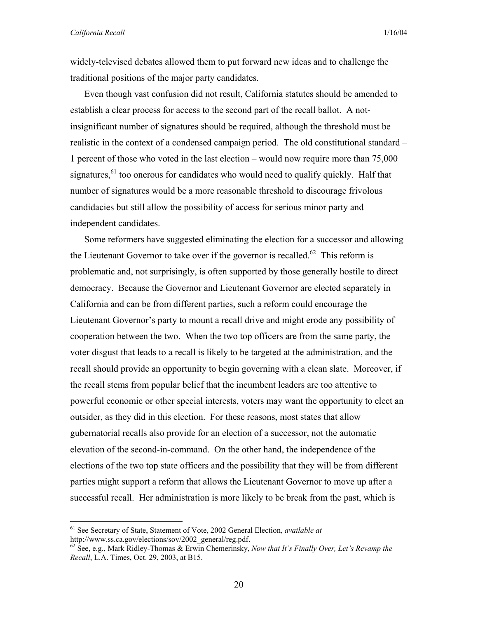widely-televised debates allowed them to put forward new ideas and to challenge the traditional positions of the major party candidates.

Even though vast confusion did not result, California statutes should be amended to establish a clear process for access to the second part of the recall ballot. A notinsignificant number of signatures should be required, although the threshold must be realistic in the context of a condensed campaign period. The old constitutional standard – 1 percent of those who voted in the last election – would now require more than 75,000 signatures,  $61$  too onerous for candidates who would need to qualify quickly. Half that number of signatures would be a more reasonable threshold to discourage frivolous candidacies but still allow the possibility of access for serious minor party and independent candidates.

Some reformers have suggested eliminating the election for a successor and allowing the Lieutenant Governor to take over if the governor is recalled.<sup>62</sup> This reform is problematic and, not surprisingly, is often supported by those generally hostile to direct democracy. Because the Governor and Lieutenant Governor are elected separately in California and can be from different parties, such a reform could encourage the Lieutenant Governor's party to mount a recall drive and might erode any possibility of cooperation between the two. When the two top officers are from the same party, the voter disgust that leads to a recall is likely to be targeted at the administration, and the recall should provide an opportunity to begin governing with a clean slate. Moreover, if the recall stems from popular belief that the incumbent leaders are too attentive to powerful economic or other special interests, voters may want the opportunity to elect an outsider, as they did in this election. For these reasons, most states that allow gubernatorial recalls also provide for an election of a successor, not the automatic elevation of the second-in-command. On the other hand, the independence of the elections of the two top state officers and the possibility that they will be from different parties might support a reform that allows the Lieutenant Governor to move up after a successful recall. Her administration is more likely to be break from the past, which is

<sup>&</sup>lt;sup>61</sup> See Secretary of State, Statement of Vote, 2002 General Election, *available at* http://www.ss.ca.gov/elections/sov/2002 general/reg.pdf.

 $h^{\text{o2}}$  See, e.g., Mark Ridley-Thomas & Erwin Chemerinsky, *Now that It's Finally Over, Let's Revamp the Recall*, L.A. Times, Oct. 29, 2003, at B15.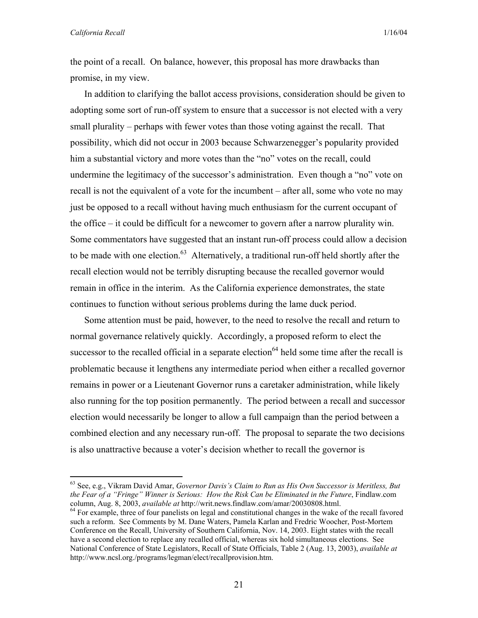1

the point of a recall. On balance, however, this proposal has more drawbacks than promise, in my view.

In addition to clarifying the ballot access provisions, consideration should be given to adopting some sort of run-off system to ensure that a successor is not elected with a very small plurality – perhaps with fewer votes than those voting against the recall. That possibility, which did not occur in 2003 because Schwarzenegger's popularity provided him a substantial victory and more votes than the "no" votes on the recall, could undermine the legitimacy of the successor's administration. Even though a "no" vote on recall is not the equivalent of a vote for the incumbent – after all, some who vote no may just be opposed to a recall without having much enthusiasm for the current occupant of the office – it could be difficult for a newcomer to govern after a narrow plurality win. Some commentators have suggested that an instant run-off process could allow a decision to be made with one election. $63$  Alternatively, a traditional run-off held shortly after the recall election would not be terribly disrupting because the recalled governor would remain in office in the interim. As the California experience demonstrates, the state continues to function without serious problems during the lame duck period.

Some attention must be paid, however, to the need to resolve the recall and return to normal governance relatively quickly. Accordingly, a proposed reform to elect the successor to the recalled official in a separate election<sup>64</sup> held some time after the recall is problematic because it lengthens any intermediate period when either a recalled governor remains in power or a Lieutenant Governor runs a caretaker administration, while likely also running for the top position permanently. The period between a recall and successor election would necessarily be longer to allow a full campaign than the period between a combined election and any necessary run-off. The proposal to separate the two decisions is also unattractive because a voter's decision whether to recall the governor is

<sup>63</sup> See, e.g., Vikram David Amar, *Governor Davis's Claim to Run as His Own Successor is Meritless, But the Fear of a "Fringe" Winner is Serious: How the Risk Can be Eliminated in the Future*, Findlaw.com column, Aug. 8, 2003, *available at http://writ.news.findlaw.com/amar/20030808.html.* 

<sup>&</sup>lt;sup>64</sup> For example, three of four panelists on legal and constitutional changes in the wake of the recall favored such a reform. See Comments by M. Dane Waters, Pamela Karlan and Fredric Woocher, Post-Mortem Conference on the Recall, University of Southern California, Nov. 14, 2003. Eight states with the recall have a second election to replace any recalled official, whereas six hold simultaneous elections. See National Conference of State Legislators, Recall of State Officials, Table 2 (Aug. 13, 2003), *available at* http://www.ncsl.org./programs/legman/elect/recallprovision.htm.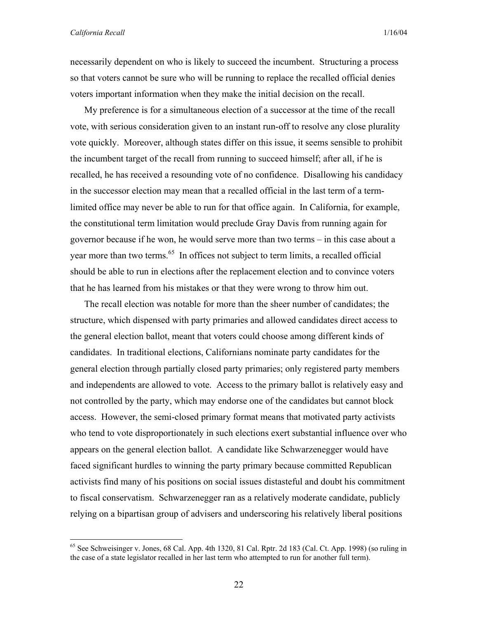necessarily dependent on who is likely to succeed the incumbent. Structuring a process so that voters cannot be sure who will be running to replace the recalled official denies voters important information when they make the initial decision on the recall.

My preference is for a simultaneous election of a successor at the time of the recall vote, with serious consideration given to an instant run-off to resolve any close plurality vote quickly. Moreover, although states differ on this issue, it seems sensible to prohibit the incumbent target of the recall from running to succeed himself; after all, if he is recalled, he has received a resounding vote of no confidence. Disallowing his candidacy in the successor election may mean that a recalled official in the last term of a termlimited office may never be able to run for that office again. In California, for example, the constitutional term limitation would preclude Gray Davis from running again for governor because if he won, he would serve more than two terms – in this case about a year more than two terms.<sup>65</sup> In offices not subject to term limits, a recalled official should be able to run in elections after the replacement election and to convince voters that he has learned from his mistakes or that they were wrong to throw him out.

The recall election was notable for more than the sheer number of candidates; the structure, which dispensed with party primaries and allowed candidates direct access to the general election ballot, meant that voters could choose among different kinds of candidates. In traditional elections, Californians nominate party candidates for the general election through partially closed party primaries; only registered party members and independents are allowed to vote. Access to the primary ballot is relatively easy and not controlled by the party, which may endorse one of the candidates but cannot block access. However, the semi-closed primary format means that motivated party activists who tend to vote disproportionately in such elections exert substantial influence over who appears on the general election ballot. A candidate like Schwarzenegger would have faced significant hurdles to winning the party primary because committed Republican activists find many of his positions on social issues distasteful and doubt his commitment to fiscal conservatism. Schwarzenegger ran as a relatively moderate candidate, publicly relying on a bipartisan group of advisers and underscoring his relatively liberal positions

<sup>65</sup> See Schweisinger v. Jones, 68 Cal. App. 4th 1320, 81 Cal. Rptr. 2d 183 (Cal. Ct. App. 1998) (so ruling in the case of a state legislator recalled in her last term who attempted to run for another full term).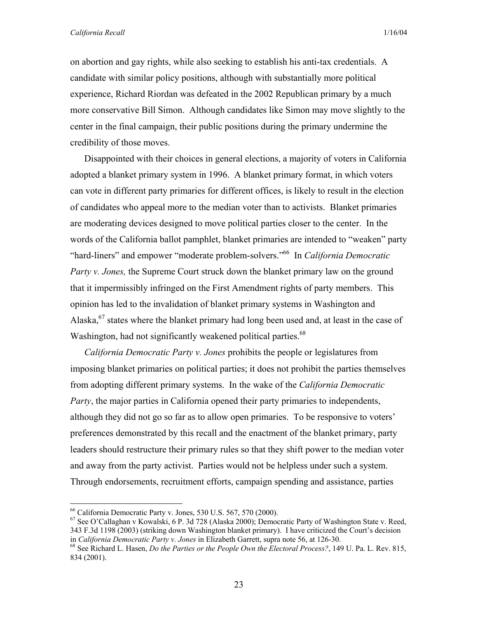on abortion and gay rights, while also seeking to establish his anti-tax credentials. A candidate with similar policy positions, although with substantially more political experience, Richard Riordan was defeated in the 2002 Republican primary by a much more conservative Bill Simon. Although candidates like Simon may move slightly to the center in the final campaign, their public positions during the primary undermine the credibility of those moves.

Disappointed with their choices in general elections, a majority of voters in California adopted a blanket primary system in 1996. A blanket primary format, in which voters can vote in different party primaries for different offices, is likely to result in the election of candidates who appeal more to the median voter than to activists. Blanket primaries are moderating devices designed to move political parties closer to the center. In the words of the California ballot pamphlet, blanket primaries are intended to "weaken" party "hard-liners" and empower "moderate problem-solvers."66 In *California Democratic Party v. Jones,* the Supreme Court struck down the blanket primary law on the ground that it impermissibly infringed on the First Amendment rights of party members. This opinion has led to the invalidation of blanket primary systems in Washington and Alaska, $67$  states where the blanket primary had long been used and, at least in the case of Washington, had not significantly weakened political parties.<sup>68</sup>

*California Democratic Party v. Jones* prohibits the people or legislatures from imposing blanket primaries on political parties; it does not prohibit the parties themselves from adopting different primary systems. In the wake of the *California Democratic Party*, the major parties in California opened their party primaries to independents, although they did not go so far as to allow open primaries. To be responsive to voters' preferences demonstrated by this recall and the enactment of the blanket primary, party leaders should restructure their primary rules so that they shift power to the median voter and away from the party activist. Parties would not be helpless under such a system. Through endorsements, recruitment efforts, campaign spending and assistance, parties

<sup>66</sup> California Democratic Party v. Jones, 530 U.S. 567, 570 (2000).

<sup>67</sup> See O'Callaghan v Kowalski, 6 P. 3d 728 (Alaska 2000); Democratic Party of Washington State v. Reed, 343 F.3d 1198 (2003) (striking down Washington blanket primary). I have criticized the Court's decision

in *California Democratic Party v. Jones* in Elizabeth Garrett, supra note 56, at 126-30.<br><sup>68</sup> See Richard L. Hasen, *Do the Parties or the People Own the Electoral Process?*, 149 U. Pa. L. Rev. 815, 834 (2001).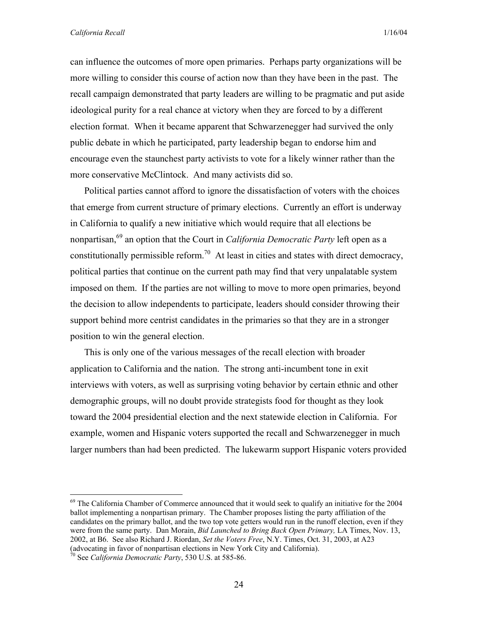can influence the outcomes of more open primaries. Perhaps party organizations will be more willing to consider this course of action now than they have been in the past. The recall campaign demonstrated that party leaders are willing to be pragmatic and put aside ideological purity for a real chance at victory when they are forced to by a different election format. When it became apparent that Schwarzenegger had survived the only public debate in which he participated, party leadership began to endorse him and encourage even the staunchest party activists to vote for a likely winner rather than the more conservative McClintock. And many activists did so.

Political parties cannot afford to ignore the dissatisfaction of voters with the choices that emerge from current structure of primary elections. Currently an effort is underway in California to qualify a new initiative which would require that all elections be nonpartisan,<sup>69</sup> an option that the Court in *California Democratic Party* left open as a constitutionally permissible reform.<sup>70</sup> At least in cities and states with direct democracy, political parties that continue on the current path may find that very unpalatable system imposed on them. If the parties are not willing to move to more open primaries, beyond the decision to allow independents to participate, leaders should consider throwing their support behind more centrist candidates in the primaries so that they are in a stronger position to win the general election.

This is only one of the various messages of the recall election with broader application to California and the nation. The strong anti-incumbent tone in exit interviews with voters, as well as surprising voting behavior by certain ethnic and other demographic groups, will no doubt provide strategists food for thought as they look toward the 2004 presidential election and the next statewide election in California. For example, women and Hispanic voters supported the recall and Schwarzenegger in much larger numbers than had been predicted. The lukewarm support Hispanic voters provided

<sup>&</sup>lt;sup>69</sup> The California Chamber of Commerce announced that it would seek to qualify an initiative for the 2004 ballot implementing a nonpartisan primary. The Chamber proposes listing the party affiliation of the candidates on the primary ballot, and the two top vote getters would run in the runoff election, even if they were from the same party. Dan Morain, *Bid Launched to Bring Back Open Primary,* LA Times, Nov. 13, 2002, at B6. See also Richard J. Riordan, *Set the Voters Free*, N.Y. Times, Oct. 31, 2003, at A23 (advocating in favor of nonpartisan elections in New York City and California). 70 See *California Democratic Party*, 530 U.S. at 585-86.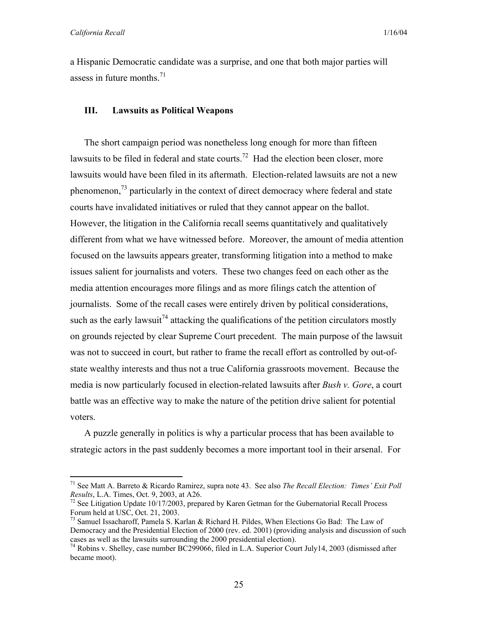1

a Hispanic Democratic candidate was a surprise, and one that both major parties will assess in future months. $^{71}$ 

#### **III. Lawsuits as Political Weapons**

The short campaign period was nonetheless long enough for more than fifteen lawsuits to be filed in federal and state courts.<sup>72</sup> Had the election been closer, more lawsuits would have been filed in its aftermath. Election-related lawsuits are not a new phenomenon,<sup>73</sup> particularly in the context of direct democracy where federal and state courts have invalidated initiatives or ruled that they cannot appear on the ballot. However, the litigation in the California recall seems quantitatively and qualitatively different from what we have witnessed before. Moreover, the amount of media attention focused on the lawsuits appears greater, transforming litigation into a method to make issues salient for journalists and voters. These two changes feed on each other as the media attention encourages more filings and as more filings catch the attention of journalists. Some of the recall cases were entirely driven by political considerations, such as the early lawsuit<sup>74</sup> attacking the qualifications of the petition circulators mostly on grounds rejected by clear Supreme Court precedent. The main purpose of the lawsuit was not to succeed in court, but rather to frame the recall effort as controlled by out-ofstate wealthy interests and thus not a true California grassroots movement. Because the media is now particularly focused in election-related lawsuits after *Bush v. Gore*, a court battle was an effective way to make the nature of the petition drive salient for potential voters.

A puzzle generally in politics is why a particular process that has been available to strategic actors in the past suddenly becomes a more important tool in their arsenal. For

<sup>71</sup> See Matt A. Barreto & Ricardo Ramirez, supra note 43. See also *The Recall Election: Times' Exit Poll Results*, L.A. Times, Oct. 9, 2003, at A26.<br><sup>72</sup> See Litigation Update 10/17/2003, prepared by Karen Getman for the Gubernatorial Recall Process

Forum held at USC, Oct. 21, 2003.

 $^{73}$  Samuel Issacharoff, Pamela S. Karlan & Richard H. Pildes, When Elections Go Bad: The Law of Democracy and the Presidential Election of 2000 (rev. ed. 2001) (providing analysis and discussion of such cases as well as the lawsuits surrounding the 2000 presidential election).

<sup>&</sup>lt;sup>74</sup> Robins v. Shelley, case number BC299066, filed in L.A. Superior Court July14, 2003 (dismissed after became moot).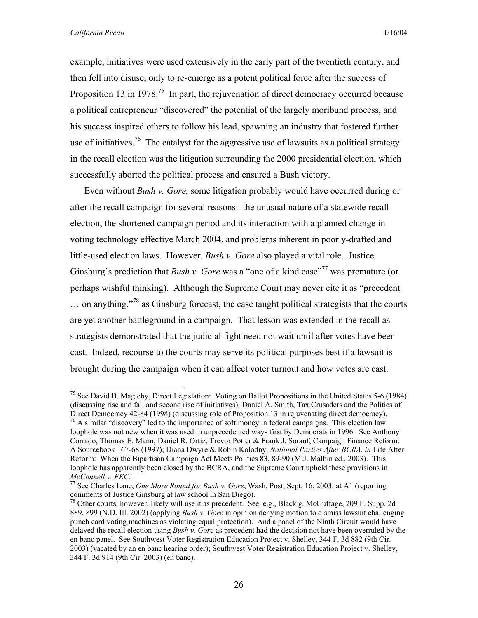example, initiatives were used extensively in the early part of the twentieth century, and then fell into disuse, only to re-emerge as a potent political force after the success of Proposition 13 in 1978.<sup>75</sup> In part, the rejuvenation of direct democracy occurred because a political entrepreneur "discovered" the potential of the largely moribund process, and his success inspired others to follow his lead, spawning an industry that fostered further use of initiatives.<sup>76</sup> The catalyst for the aggressive use of lawsuits as a political strategy in the recall election was the litigation surrounding the 2000 presidential election, which successfully aborted the political process and ensured a Bush victory.

Even without *Bush v. Gore,* some litigation probably would have occurred during or after the recall campaign for several reasons: the unusual nature of a statewide recall election, the shortened campaign period and its interaction with a planned change in voting technology effective March 2004, and problems inherent in poorly-drafted and little-used election laws. However, *Bush v. Gore* also played a vital role. Justice Ginsburg's prediction that *Bush v. Gore* was a "one of a kind case"<sup>77</sup> was premature (or perhaps wishful thinking). Although the Supreme Court may never cite it as "precedent … on anything,"78 as Ginsburg forecast, the case taught political strategists that the courts are yet another battleground in a campaign. That lesson was extended in the recall as strategists demonstrated that the judicial fight need not wait until after votes have been cast. Indeed, recourse to the courts may serve its political purposes best if a lawsuit is brought during the campaign when it can affect voter turnout and how votes are cast.

<sup>&</sup>lt;sup>75</sup> See David B. Magleby, Direct Legislation: Voting on Ballot Propositions in the United States 5-6 (1984) (discussing rise and fall and second rise of initiatives); Daniel A. Smith, Tax Crusaders and the Politics of Direct Democracy 42-84 (1998) (discussing role of Proposition 13 in rejuvenating direct democracy).<br><sup>76</sup> A similar "discovery" led to the importance of soft money in federal campaigns. This election law

loophole was not new when it was used in unprecedented ways first by Democrats in 1996. See Anthony Corrado, Thomas E. Mann, Daniel R. Ortiz, Trevor Potter & Frank J. Sorauf, Campaign Finance Reform: A Sourcebook 167-68 (1997); Diana Dwyre & Robin Kolodny, *National Parties After BCRA*, *in* Life After Reform: When the Bipartisan Campaign Act Meets Politics 83, 89-90 (M.J. Malbin ed., 2003). This loophole has apparently been closed by the BCRA, and the Supreme Court upheld these provisions in *McConnell v. FEC.* 

<sup>&</sup>lt;sup>77</sup> See Charles Lane, *One More Round for Bush v. Gore*, Wash. Post, Sept. 16, 2003, at A1 (reporting comments of Justice Ginsburg at law school in San Diego).

<sup>&</sup>lt;sup>78</sup> Other courts, however, likely will use it as precedent. See, e.g., Black g. McGuffage, 209 F. Supp. 2d 889, 899 (N.D. Ill. 2002) (applying *Bush v. Gore* in opinion denying motion to dismiss lawsuit challenging punch card voting machines as violating equal protection). And a panel of the Ninth Circuit would have delayed the recall election using *Bush v. Gore* as precedent had the decision not have been overruled by the en banc panel. See Southwest Voter Registration Education Project v. Shelley, 344 F. 3d 882 (9th Cir. 2003) (vacated by an en banc hearing order); Southwest Voter Registration Education Project v. Shelley, 344 F. 3d 914 (9th Cir. 2003) (en banc).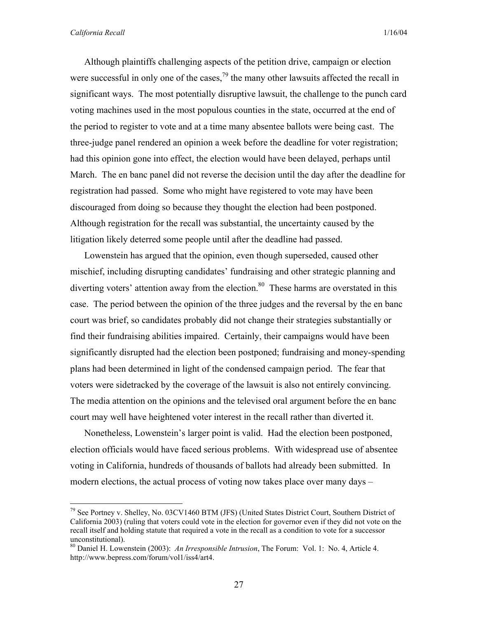Although plaintiffs challenging aspects of the petition drive, campaign or election were successful in only one of the cases,  $^{79}$  the many other lawsuits affected the recall in significant ways. The most potentially disruptive lawsuit, the challenge to the punch card voting machines used in the most populous counties in the state, occurred at the end of the period to register to vote and at a time many absentee ballots were being cast. The three-judge panel rendered an opinion a week before the deadline for voter registration; had this opinion gone into effect, the election would have been delayed, perhaps until March. The en banc panel did not reverse the decision until the day after the deadline for registration had passed. Some who might have registered to vote may have been discouraged from doing so because they thought the election had been postponed. Although registration for the recall was substantial, the uncertainty caused by the litigation likely deterred some people until after the deadline had passed.

Lowenstein has argued that the opinion, even though superseded, caused other mischief, including disrupting candidates' fundraising and other strategic planning and diverting voters' attention away from the election.<sup>80</sup> These harms are overstated in this case. The period between the opinion of the three judges and the reversal by the en banc court was brief, so candidates probably did not change their strategies substantially or find their fundraising abilities impaired. Certainly, their campaigns would have been significantly disrupted had the election been postponed; fundraising and money-spending plans had been determined in light of the condensed campaign period. The fear that voters were sidetracked by the coverage of the lawsuit is also not entirely convincing. The media attention on the opinions and the televised oral argument before the en banc court may well have heightened voter interest in the recall rather than diverted it.

Nonetheless, Lowenstein's larger point is valid. Had the election been postponed, election officials would have faced serious problems. With widespread use of absentee voting in California, hundreds of thousands of ballots had already been submitted. In modern elections, the actual process of voting now takes place over many days –

 $79$  See Portney v. Shelley, No. 03CV1460 BTM (JFS) (United States District Court, Southern District of California 2003) (ruling that voters could vote in the election for governor even if they did not vote on the recall itself and holding statute that required a vote in the recall as a condition to vote for a successor unconstitutional).

<sup>80</sup> Daniel H. Lowenstein (2003): *An Irresponsible Intrusion*, The Forum: Vol. 1: No. 4, Article 4. http://www.bepress.com/forum/vol1/iss4/art4.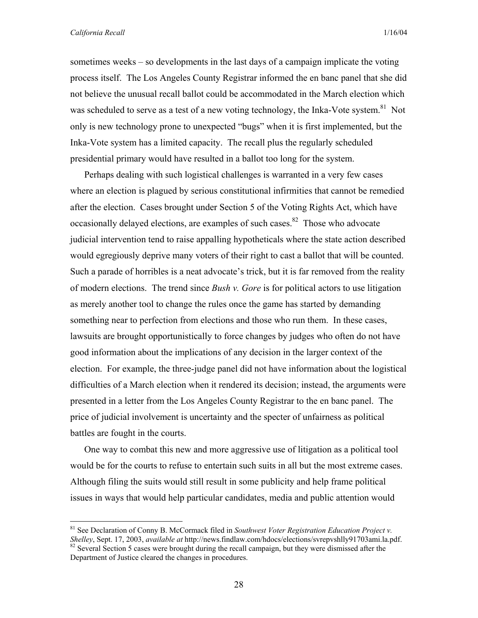sometimes weeks – so developments in the last days of a campaign implicate the voting process itself. The Los Angeles County Registrar informed the en banc panel that she did not believe the unusual recall ballot could be accommodated in the March election which was scheduled to serve as a test of a new voting technology, the Inka-Vote system.<sup>81</sup> Not only is new technology prone to unexpected "bugs" when it is first implemented, but the Inka-Vote system has a limited capacity. The recall plus the regularly scheduled presidential primary would have resulted in a ballot too long for the system.

Perhaps dealing with such logistical challenges is warranted in a very few cases where an election is plagued by serious constitutional infirmities that cannot be remedied after the election. Cases brought under Section 5 of the Voting Rights Act, which have occasionally delayed elections, are examples of such cases. $82$  Those who advocate judicial intervention tend to raise appalling hypotheticals where the state action described would egregiously deprive many voters of their right to cast a ballot that will be counted. Such a parade of horribles is a neat advocate's trick, but it is far removed from the reality of modern elections. The trend since *Bush v. Gore* is for political actors to use litigation as merely another tool to change the rules once the game has started by demanding something near to perfection from elections and those who run them. In these cases, lawsuits are brought opportunistically to force changes by judges who often do not have good information about the implications of any decision in the larger context of the election. For example, the three-judge panel did not have information about the logistical difficulties of a March election when it rendered its decision; instead, the arguments were presented in a letter from the Los Angeles County Registrar to the en banc panel. The price of judicial involvement is uncertainty and the specter of unfairness as political battles are fought in the courts.

One way to combat this new and more aggressive use of litigation as a political tool would be for the courts to refuse to entertain such suits in all but the most extreme cases. Although filing the suits would still result in some publicity and help frame political issues in ways that would help particular candidates, media and public attention would

<sup>&</sup>lt;sup>81</sup> See Declaration of Conny B. McCormack filed in *Southwest Voter Registration Education Project v. Shelley*, Sept. 17, 2003, *available at* http://news.findlaw.com/hdocs/elections/syrepyshlly91703ami.la.pdf. <sup>82</sup> Several Section 5 cases were brought during the recall campaign, but they were dismissed after the Department of Justice cleared the changes in procedures.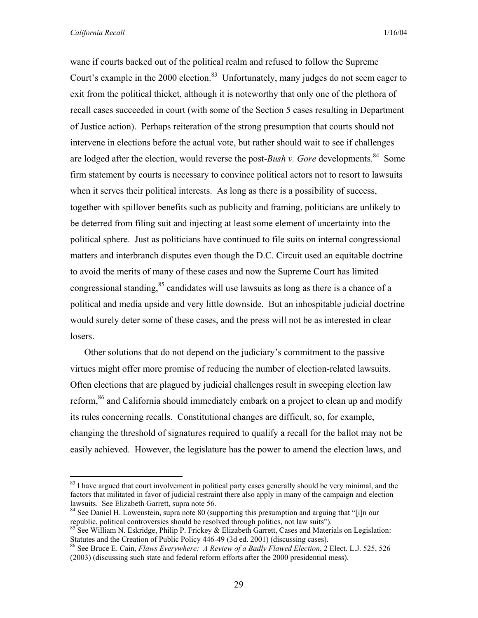wane if courts backed out of the political realm and refused to follow the Supreme Court's example in the 2000 election.<sup>83</sup> Unfortunately, many judges do not seem eager to exit from the political thicket, although it is noteworthy that only one of the plethora of recall cases succeeded in court (with some of the Section 5 cases resulting in Department of Justice action). Perhaps reiteration of the strong presumption that courts should not intervene in elections before the actual vote, but rather should wait to see if challenges are lodged after the election, would reverse the post-*Bush v. Gore* developments.<sup>84</sup> Some firm statement by courts is necessary to convince political actors not to resort to lawsuits when it serves their political interests. As long as there is a possibility of success, together with spillover benefits such as publicity and framing, politicians are unlikely to be deterred from filing suit and injecting at least some element of uncertainty into the political sphere. Just as politicians have continued to file suits on internal congressional matters and interbranch disputes even though the D.C. Circuit used an equitable doctrine to avoid the merits of many of these cases and now the Supreme Court has limited congressional standing,  $85$  candidates will use lawsuits as long as there is a chance of a political and media upside and very little downside. But an inhospitable judicial doctrine would surely deter some of these cases, and the press will not be as interested in clear losers.

Other solutions that do not depend on the judiciary's commitment to the passive virtues might offer more promise of reducing the number of election-related lawsuits. Often elections that are plagued by judicial challenges result in sweeping election law reform,<sup>86</sup> and California should immediately embark on a project to clean up and modify its rules concerning recalls. Constitutional changes are difficult, so, for example, changing the threshold of signatures required to qualify a recall for the ballot may not be easily achieved. However, the legislature has the power to amend the election laws, and

<sup>&</sup>lt;sup>83</sup> I have argued that court involvement in political party cases generally should be very minimal, and the factors that militated in favor of judicial restraint there also apply in many of the campaign and election lawsuits. See Elizabeth Garrett, supra note 56.

<sup>&</sup>lt;sup>84</sup> See Daniel H. Lowenstein, supra note 80 (supporting this presumption and arguing that "[i]n our republic, political controversies should be resolved through politics, not law suits").

<sup>&</sup>lt;sup>85</sup> See William N. Eskridge, Philip P. Frickey & Elizabeth Garrett, Cases and Materials on Legislation:<br>Statutes and the Creation of Public Policy 446-49 (3d ed. 2001) (discussing cases).

<sup>&</sup>lt;sup>86</sup> See Bruce E. Cain, *Flaws Everywhere: A Review of a Badly Flawed Election*, 2 Elect. L.J. 525, 526 (2003) (discussing such state and federal reform efforts after the 2000 presidential mess).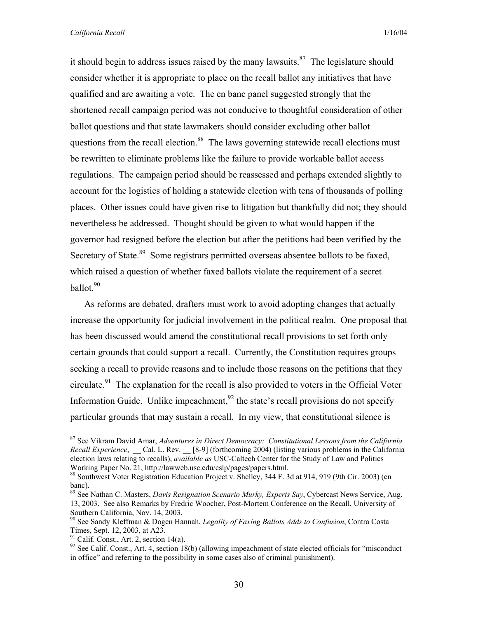it should begin to address issues raised by the many lawsuits.<sup>87</sup> The legislature should consider whether it is appropriate to place on the recall ballot any initiatives that have qualified and are awaiting a vote. The en banc panel suggested strongly that the shortened recall campaign period was not conducive to thoughtful consideration of other ballot questions and that state lawmakers should consider excluding other ballot questions from the recall election.<sup>88</sup> The laws governing statewide recall elections must be rewritten to eliminate problems like the failure to provide workable ballot access regulations. The campaign period should be reassessed and perhaps extended slightly to account for the logistics of holding a statewide election with tens of thousands of polling places. Other issues could have given rise to litigation but thankfully did not; they should nevertheless be addressed. Thought should be given to what would happen if the governor had resigned before the election but after the petitions had been verified by the Secretary of State.<sup>89</sup> Some registrars permitted overseas absentee ballots to be faxed, which raised a question of whether faxed ballots violate the requirement of a secret ballot. $90$ 

As reforms are debated, drafters must work to avoid adopting changes that actually increase the opportunity for judicial involvement in the political realm. One proposal that has been discussed would amend the constitutional recall provisions to set forth only certain grounds that could support a recall. Currently, the Constitution requires groups seeking a recall to provide reasons and to include those reasons on the petitions that they circulate.<sup>91</sup> The explanation for the recall is also provided to voters in the Official Voter Information Guide. Unlike impeachment,  $92$  the state's recall provisions do not specify particular grounds that may sustain a recall. In my view, that constitutional silence is

<sup>87</sup> See Vikram David Amar, *Adventures in Direct Democracy: Constitutional Lessons from the California Recall Experience*, \_\_ Cal. L. Rev. \_\_ [8-9] (forthcoming 2004) (listing various problems in the California election laws relating to recalls), *available as* USC-Caltech Center for the Study of Law and Politics Working Paper No. 21, http://lawweb.usc.edu/cslp/pages/papers.html.

<sup>88</sup> Southwest Voter Registration Education Project v. Shelley, 344 F. 3d at 914, 919 (9th Cir. 2003) (en banc).

<sup>89</sup> See Nathan C. Masters, *Davis Resignation Scenario Murky, Experts Say*, Cybercast News Service, Aug. 13, 2003. See also Remarks by Fredric Woocher, Post-Mortem Conference on the Recall, University of Southern California, Nov. 14, 2003.

<sup>90</sup> See Sandy Kleffman & Dogen Hannah, *Legality of Faxing Ballots Adds to Confusion*, Contra Costa Times, Sept. 12, 2003, at A23.

 $91$  Calif. Const., Art. 2, section 14(a).

<sup>&</sup>lt;sup>92</sup> See Calif. Const., Art. 4, section 18(b) (allowing impeachment of state elected officials for "misconduct" in office" and referring to the possibility in some cases also of criminal punishment).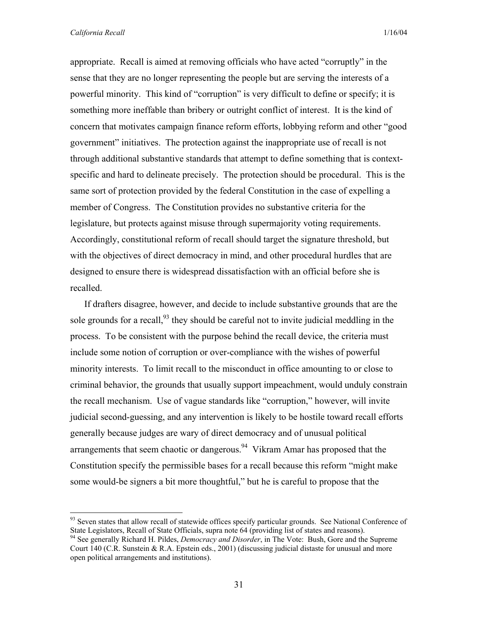appropriate. Recall is aimed at removing officials who have acted "corruptly" in the sense that they are no longer representing the people but are serving the interests of a powerful minority. This kind of "corruption" is very difficult to define or specify; it is something more ineffable than bribery or outright conflict of interest. It is the kind of concern that motivates campaign finance reform efforts, lobbying reform and other "good government" initiatives. The protection against the inappropriate use of recall is not through additional substantive standards that attempt to define something that is contextspecific and hard to delineate precisely. The protection should be procedural. This is the same sort of protection provided by the federal Constitution in the case of expelling a member of Congress. The Constitution provides no substantive criteria for the legislature, but protects against misuse through supermajority voting requirements. Accordingly, constitutional reform of recall should target the signature threshold, but with the objectives of direct democracy in mind, and other procedural hurdles that are designed to ensure there is widespread dissatisfaction with an official before she is recalled.

If drafters disagree, however, and decide to include substantive grounds that are the sole grounds for a recall,  $93$  they should be careful not to invite judicial meddling in the process. To be consistent with the purpose behind the recall device, the criteria must include some notion of corruption or over-compliance with the wishes of powerful minority interests. To limit recall to the misconduct in office amounting to or close to criminal behavior, the grounds that usually support impeachment, would unduly constrain the recall mechanism. Use of vague standards like "corruption," however, will invite judicial second-guessing, and any intervention is likely to be hostile toward recall efforts generally because judges are wary of direct democracy and of unusual political arrangements that seem chaotic or dangerous.<sup>94</sup> Vikram Amar has proposed that the Constitution specify the permissible bases for a recall because this reform "might make some would-be signers a bit more thoughtful," but he is careful to propose that the

<sup>&</sup>lt;sup>93</sup> Seven states that allow recall of statewide offices specify particular grounds. See National Conference of State Legislators, Recall of State Officials, supra note 64 (providing list of states and reasons). 94 See generally Richard H. Pildes, *Democracy and Disorder*, in The Vote: Bush, Gore and the Supreme

Court 140 (C.R. Sunstein & R.A. Epstein eds., 2001) (discussing judicial distaste for unusual and more open political arrangements and institutions).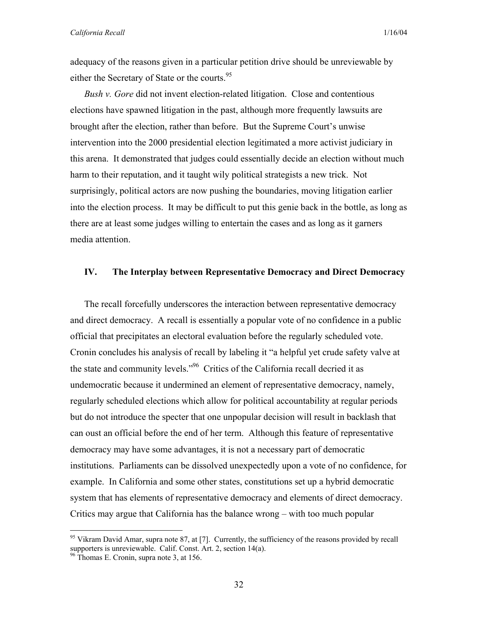adequacy of the reasons given in a particular petition drive should be unreviewable by either the Secretary of State or the courts.<sup>95</sup>

*Bush v. Gore* did not invent election-related litigation. Close and contentious elections have spawned litigation in the past, although more frequently lawsuits are brought after the election, rather than before. But the Supreme Court's unwise intervention into the 2000 presidential election legitimated a more activist judiciary in this arena. It demonstrated that judges could essentially decide an election without much harm to their reputation, and it taught wily political strategists a new trick. Not surprisingly, political actors are now pushing the boundaries, moving litigation earlier into the election process. It may be difficult to put this genie back in the bottle, as long as there are at least some judges willing to entertain the cases and as long as it garners media attention.

## **IV. The Interplay between Representative Democracy and Direct Democracy**

The recall forcefully underscores the interaction between representative democracy and direct democracy. A recall is essentially a popular vote of no confidence in a public official that precipitates an electoral evaluation before the regularly scheduled vote. Cronin concludes his analysis of recall by labeling it "a helpful yet crude safety valve at the state and community levels."96 Critics of the California recall decried it as undemocratic because it undermined an element of representative democracy, namely, regularly scheduled elections which allow for political accountability at regular periods but do not introduce the specter that one unpopular decision will result in backlash that can oust an official before the end of her term. Although this feature of representative democracy may have some advantages, it is not a necessary part of democratic institutions. Parliaments can be dissolved unexpectedly upon a vote of no confidence, for example. In California and some other states, constitutions set up a hybrid democratic system that has elements of representative democracy and elements of direct democracy. Critics may argue that California has the balance wrong – with too much popular

<sup>&</sup>lt;sup>95</sup> Vikram David Amar, supra note 87, at [7]. Currently, the sufficiency of the reasons provided by recall supporters is unreviewable. Calif. Const. Art. 2, section 14(a). <sup>96</sup> Thomas E. Cronin, supra note 3, at 156.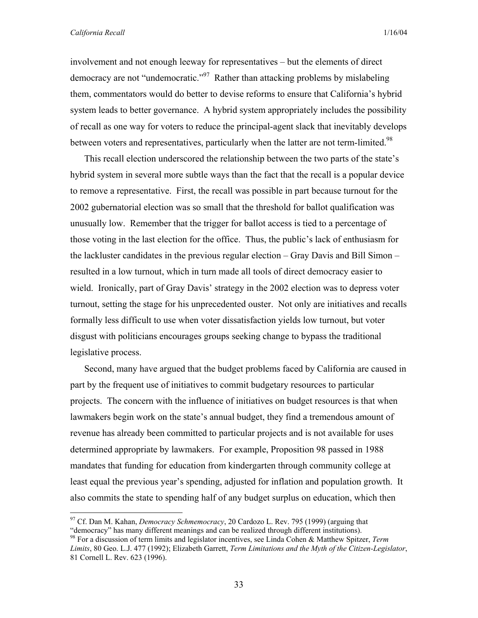1

involvement and not enough leeway for representatives – but the elements of direct democracy are not "undemocratic."<sup>97</sup> Rather than attacking problems by mislabeling them, commentators would do better to devise reforms to ensure that California's hybrid system leads to better governance. A hybrid system appropriately includes the possibility of recall as one way for voters to reduce the principal-agent slack that inevitably develops between voters and representatives, particularly when the latter are not term-limited.<sup>98</sup>

This recall election underscored the relationship between the two parts of the state's hybrid system in several more subtle ways than the fact that the recall is a popular device to remove a representative. First, the recall was possible in part because turnout for the 2002 gubernatorial election was so small that the threshold for ballot qualification was unusually low. Remember that the trigger for ballot access is tied to a percentage of those voting in the last election for the office. Thus, the public's lack of enthusiasm for the lackluster candidates in the previous regular election – Gray Davis and Bill Simon – resulted in a low turnout, which in turn made all tools of direct democracy easier to wield. Ironically, part of Gray Davis' strategy in the 2002 election was to depress voter turnout, setting the stage for his unprecedented ouster. Not only are initiatives and recalls formally less difficult to use when voter dissatisfaction yields low turnout, but voter disgust with politicians encourages groups seeking change to bypass the traditional legislative process.

Second, many have argued that the budget problems faced by California are caused in part by the frequent use of initiatives to commit budgetary resources to particular projects. The concern with the influence of initiatives on budget resources is that when lawmakers begin work on the state's annual budget, they find a tremendous amount of revenue has already been committed to particular projects and is not available for uses determined appropriate by lawmakers. For example, Proposition 98 passed in 1988 mandates that funding for education from kindergarten through community college at least equal the previous year's spending, adjusted for inflation and population growth. It also commits the state to spending half of any budget surplus on education, which then

<sup>97</sup> Cf. Dan M. Kahan, *Democracy Schmemocracy*, 20 Cardozo L. Rev. 795 (1999) (arguing that "democracy" has many different meanings and can be realized through different institutions). 98 For a discussion of term limits and legislator incentives, see Linda Cohen & Matthew Spitzer, *Term* 

*Limits*, 80 Geo. L.J. 477 (1992); Elizabeth Garrett, *Term Limitations and the Myth of the Citizen-Legislator*, 81 Cornell L. Rev. 623 (1996).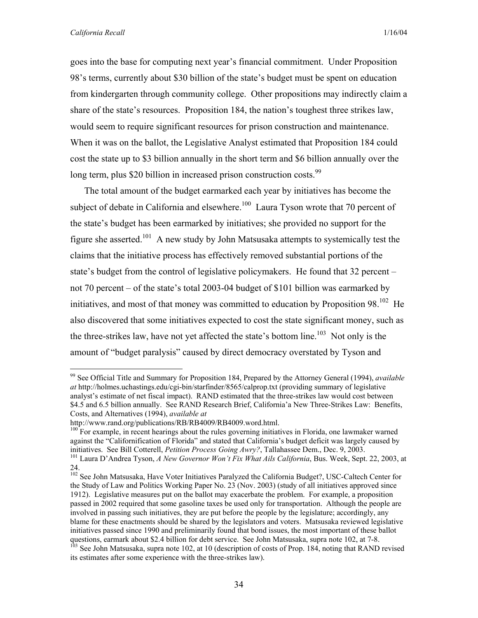goes into the base for computing next year's financial commitment. Under Proposition 98's terms, currently about \$30 billion of the state's budget must be spent on education from kindergarten through community college. Other propositions may indirectly claim a share of the state's resources. Proposition 184, the nation's toughest three strikes law, would seem to require significant resources for prison construction and maintenance. When it was on the ballot, the Legislative Analyst estimated that Proposition 184 could cost the state up to \$3 billion annually in the short term and \$6 billion annually over the long term, plus \$20 billion in increased prison construction costs.<sup>99</sup>

The total amount of the budget earmarked each year by initiatives has become the subject of debate in California and elsewhere.<sup>100</sup> Laura Tyson wrote that 70 percent of the state's budget has been earmarked by initiatives; she provided no support for the figure she asserted.<sup>101</sup> A new study by John Matsusaka attempts to systemically test the claims that the initiative process has effectively removed substantial portions of the state's budget from the control of legislative policymakers. He found that 32 percent – not 70 percent – of the state's total 2003-04 budget of \$101 billion was earmarked by initiatives, and most of that money was committed to education by Proposition  $98$ <sup>102</sup> He also discovered that some initiatives expected to cost the state significant money, such as the three-strikes law, have not yet affected the state's bottom line.<sup>103</sup> Not only is the amount of "budget paralysis" caused by direct democracy overstated by Tyson and

<sup>99</sup> See Official Title and Summary for Proposition 184, Prepared by the Attorney General (1994), *available at* http://holmes.uchastings.edu/cgi-bin/starfinder/8565/calprop.txt (providing summary of legislative analyst's estimate of net fiscal impact).RAND estimated that the three-strikes law would cost between \$4.5 and 6.5 billion annually. See RAND Research Brief, California'a New Three-Strikes Law: Benefits, Costs, and Alternatives (1994), *available at* 

http://www.rand.org/publications/RB/RB4009/RB4009.word.html.

<sup>&</sup>lt;sup>100</sup> For example, in recent hearings about the rules governing initiatives in Florida, one lawmaker warned against the "Californification of Florida" and stated that California's budget deficit was largely caused by initiatives. See Bill Cotterell, *Petition Process Going Awry?*, Tallahassee Dem., Dec. 9, 2003.<br><sup>101</sup> Laura D'Andrea Tyson, *A New Governor Won't Fix What Ails California*, Bus. Week, Sept. 22, 2003, at

<sup>24.</sup> 

<sup>&</sup>lt;sup>102</sup> See John Matsusaka, Have Voter Initiatives Paralyzed the California Budget?, USC-Caltech Center for the Study of Law and Politics Working Paper No. 23 (Nov. 2003) (study of all initiatives approved since 1912). Legislative measures put on the ballot may exacerbate the problem. For example, a proposition passed in 2002 required that some gasoline taxes be used only for transportation. Although the people are involved in passing such initiatives, they are put before the people by the legislature; accordingly, any blame for these enactments should be shared by the legislators and voters. Matsusaka reviewed legislative initiatives passed since 1990 and preliminarily found that bond issues, the most important of these ballot questions, earmark about \$2.4 billion for debt service. See John Matsusaka, supra note 102, at 7-8.<br><sup>103</sup> See John Matsusaka, supra note 102, at 10 (description of costs of Prop. 184, noting that RAND revised its estimates after some experience with the three-strikes law).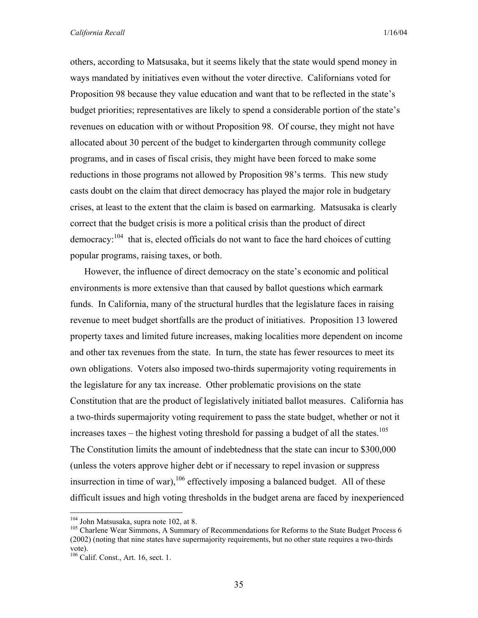others, according to Matsusaka, but it seems likely that the state would spend money in ways mandated by initiatives even without the voter directive. Californians voted for Proposition 98 because they value education and want that to be reflected in the state's budget priorities; representatives are likely to spend a considerable portion of the state's revenues on education with or without Proposition 98. Of course, they might not have allocated about 30 percent of the budget to kindergarten through community college programs, and in cases of fiscal crisis, they might have been forced to make some reductions in those programs not allowed by Proposition 98's terms. This new study casts doubt on the claim that direct democracy has played the major role in budgetary crises, at least to the extent that the claim is based on earmarking. Matsusaka is clearly correct that the budget crisis is more a political crisis than the product of direct democracy:  $104$  that is, elected officials do not want to face the hard choices of cutting popular programs, raising taxes, or both.

However, the influence of direct democracy on the state's economic and political environments is more extensive than that caused by ballot questions which earmark funds. In California, many of the structural hurdles that the legislature faces in raising revenue to meet budget shortfalls are the product of initiatives. Proposition 13 lowered property taxes and limited future increases, making localities more dependent on income and other tax revenues from the state. In turn, the state has fewer resources to meet its own obligations. Voters also imposed two-thirds supermajority voting requirements in the legislature for any tax increase. Other problematic provisions on the state Constitution that are the product of legislatively initiated ballot measures. California has a two-thirds supermajority voting requirement to pass the state budget, whether or not it increases taxes – the highest voting threshold for passing a budget of all the states.<sup>105</sup> The Constitution limits the amount of indebtedness that the state can incur to \$300,000 (unless the voters approve higher debt or if necessary to repel invasion or suppress insurrection in time of war),  $106$  effectively imposing a balanced budget. All of these difficult issues and high voting thresholds in the budget arena are faced by inexperienced

<sup>&</sup>lt;sup>104</sup> John Matsusaka, supra note 102, at 8.

<sup>&</sup>lt;sup>105</sup> Charlene Wear Simmons, A Summary of Recommendations for Reforms to the State Budget Process 6 (2002) (noting that nine states have supermajority requirements, but no other state requires a two-thirds vote).

 $106$  Calif. Const., Art. 16, sect. 1.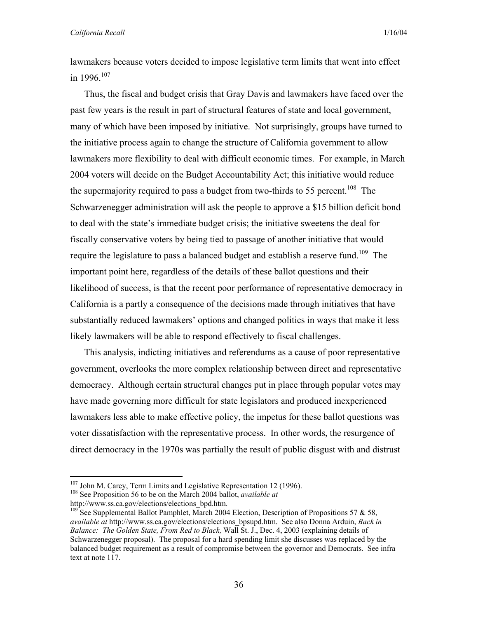lawmakers because voters decided to impose legislative term limits that went into effect in 1996. $107$ 

Thus, the fiscal and budget crisis that Gray Davis and lawmakers have faced over the past few years is the result in part of structural features of state and local government, many of which have been imposed by initiative. Not surprisingly, groups have turned to the initiative process again to change the structure of California government to allow lawmakers more flexibility to deal with difficult economic times. For example, in March 2004 voters will decide on the Budget Accountability Act; this initiative would reduce the supermajority required to pass a budget from two-thirds to 55 percent.<sup>108</sup> The Schwarzenegger administration will ask the people to approve a \$15 billion deficit bond to deal with the state's immediate budget crisis; the initiative sweetens the deal for fiscally conservative voters by being tied to passage of another initiative that would require the legislature to pass a balanced budget and establish a reserve fund.<sup>109</sup> The important point here, regardless of the details of these ballot questions and their likelihood of success, is that the recent poor performance of representative democracy in California is a partly a consequence of the decisions made through initiatives that have substantially reduced lawmakers' options and changed politics in ways that make it less likely lawmakers will be able to respond effectively to fiscal challenges.

This analysis, indicting initiatives and referendums as a cause of poor representative government, overlooks the more complex relationship between direct and representative democracy. Although certain structural changes put in place through popular votes may have made governing more difficult for state legislators and produced inexperienced lawmakers less able to make effective policy, the impetus for these ballot questions was voter dissatisfaction with the representative process. In other words, the resurgence of direct democracy in the 1970s was partially the result of public disgust with and distrust

<sup>107</sup> John M. Carey, Term Limits and Legislative Representation 12 (1996). 108 See Proposition 56 to be on the March 2004 ballot, *available at*

http://www.ss.ca.gov/elections/elections\_bpd.htm.

<sup>&</sup>lt;sup>109</sup> See Supplemental Ballot Pamphlet, March 2004 Election, Description of Propositions 57 & 58, *available at* http://www.ss.ca.gov/elections/elections\_bpsupd.htm. See also Donna Arduin, *Back in Balance: The Golden State, From Red to Black,* Wall St. J., Dec. 4, 2003 (explaining details of Schwarzenegger proposal). The proposal for a hard spending limit she discusses was replaced by the balanced budget requirement as a result of compromise between the governor and Democrats. See infra text at note 117.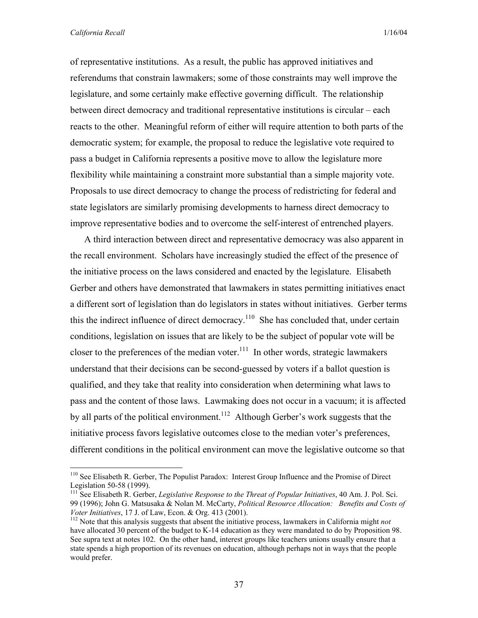of representative institutions. As a result, the public has approved initiatives and referendums that constrain lawmakers; some of those constraints may well improve the legislature, and some certainly make effective governing difficult. The relationship between direct democracy and traditional representative institutions is circular – each reacts to the other. Meaningful reform of either will require attention to both parts of the democratic system; for example, the proposal to reduce the legislative vote required to pass a budget in California represents a positive move to allow the legislature more flexibility while maintaining a constraint more substantial than a simple majority vote. Proposals to use direct democracy to change the process of redistricting for federal and state legislators are similarly promising developments to harness direct democracy to improve representative bodies and to overcome the self-interest of entrenched players.

A third interaction between direct and representative democracy was also apparent in the recall environment. Scholars have increasingly studied the effect of the presence of the initiative process on the laws considered and enacted by the legislature. Elisabeth Gerber and others have demonstrated that lawmakers in states permitting initiatives enact a different sort of legislation than do legislators in states without initiatives. Gerber terms this the indirect influence of direct democracy.<sup>110</sup> She has concluded that, under certain conditions, legislation on issues that are likely to be the subject of popular vote will be closer to the preferences of the median voter.<sup>111</sup> In other words, strategic lawmakers understand that their decisions can be second-guessed by voters if a ballot question is qualified, and they take that reality into consideration when determining what laws to pass and the content of those laws. Lawmaking does not occur in a vacuum; it is affected by all parts of the political environment.<sup>112</sup> Although Gerber's work suggests that the initiative process favors legislative outcomes close to the median voter's preferences, different conditions in the political environment can move the legislative outcome so that

<sup>&</sup>lt;sup>110</sup> See Elisabeth R. Gerber, The Populist Paradox: Interest Group Influence and the Promise of Direct Legislation 50-58 (1999).

<sup>&</sup>lt;sup>111</sup> See Elisabeth R. Gerber, *Legislative Response to the Threat of Popular Initiatives*, 40 Am. J. Pol. Sci. 99 (1996); John G. Matsusaka & Nolan M. McCarty, *Political Resource Allocation: Benefits and Costs of* 

<sup>&</sup>lt;sup>112</sup> Note that this analysis suggests that absent the initiative process, lawmakers in California might *not* have allocated 30 percent of the budget to K-14 education as they were mandated to do by Proposition 98. See supra text at notes 102. On the other hand, interest groups like teachers unions usually ensure that a state spends a high proportion of its revenues on education, although perhaps not in ways that the people would prefer.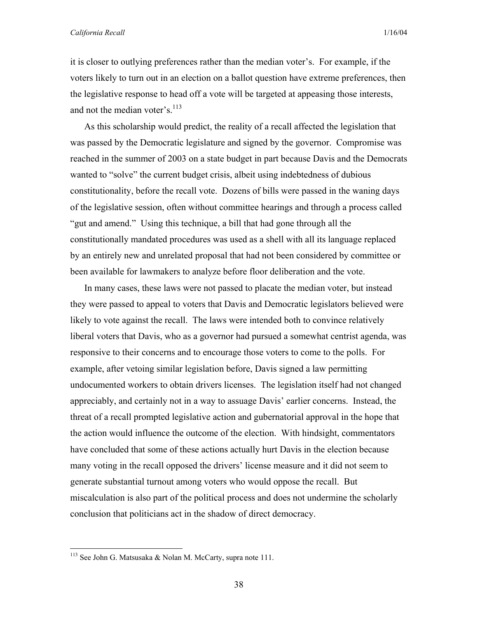#### *California Recall* 1/16/04

it is closer to outlying preferences rather than the median voter's. For example, if the voters likely to turn out in an election on a ballot question have extreme preferences, then the legislative response to head off a vote will be targeted at appeasing those interests, and not the median voter's.<sup>113</sup>

As this scholarship would predict, the reality of a recall affected the legislation that was passed by the Democratic legislature and signed by the governor. Compromise was reached in the summer of 2003 on a state budget in part because Davis and the Democrats wanted to "solve" the current budget crisis, albeit using indebtedness of dubious constitutionality, before the recall vote. Dozens of bills were passed in the waning days of the legislative session, often without committee hearings and through a process called "gut and amend." Using this technique, a bill that had gone through all the constitutionally mandated procedures was used as a shell with all its language replaced by an entirely new and unrelated proposal that had not been considered by committee or been available for lawmakers to analyze before floor deliberation and the vote.

In many cases, these laws were not passed to placate the median voter, but instead they were passed to appeal to voters that Davis and Democratic legislators believed were likely to vote against the recall. The laws were intended both to convince relatively liberal voters that Davis, who as a governor had pursued a somewhat centrist agenda, was responsive to their concerns and to encourage those voters to come to the polls. For example, after vetoing similar legislation before, Davis signed a law permitting undocumented workers to obtain drivers licenses. The legislation itself had not changed appreciably, and certainly not in a way to assuage Davis' earlier concerns. Instead, the threat of a recall prompted legislative action and gubernatorial approval in the hope that the action would influence the outcome of the election. With hindsight, commentators have concluded that some of these actions actually hurt Davis in the election because many voting in the recall opposed the drivers' license measure and it did not seem to generate substantial turnout among voters who would oppose the recall. But miscalculation is also part of the political process and does not undermine the scholarly conclusion that politicians act in the shadow of direct democracy.

<u>.</u>

<sup>&</sup>lt;sup>113</sup> See John G. Matsusaka & Nolan M. McCarty, supra note 111.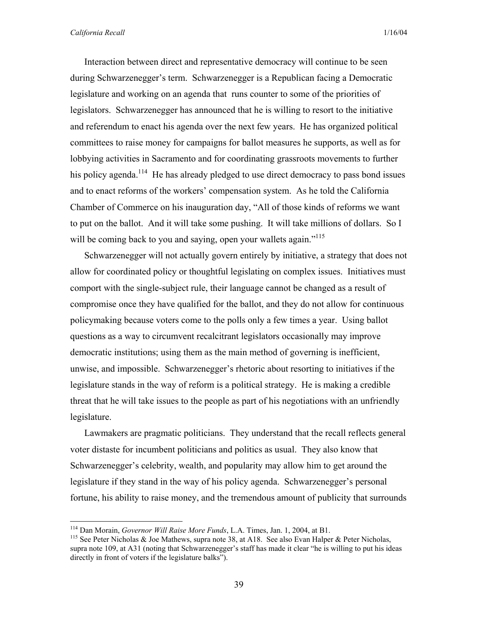Interaction between direct and representative democracy will continue to be seen during Schwarzenegger's term. Schwarzenegger is a Republican facing a Democratic legislature and working on an agenda that runs counter to some of the priorities of legislators. Schwarzenegger has announced that he is willing to resort to the initiative and referendum to enact his agenda over the next few years. He has organized political committees to raise money for campaigns for ballot measures he supports, as well as for lobbying activities in Sacramento and for coordinating grassroots movements to further his policy agenda.<sup>114</sup> He has already pledged to use direct democracy to pass bond issues and to enact reforms of the workers' compensation system. As he told the California Chamber of Commerce on his inauguration day, "All of those kinds of reforms we want to put on the ballot. And it will take some pushing. It will take millions of dollars. So I will be coming back to you and saying, open your wallets again."<sup>115</sup>

Schwarzenegger will not actually govern entirely by initiative, a strategy that does not allow for coordinated policy or thoughtful legislating on complex issues. Initiatives must comport with the single-subject rule, their language cannot be changed as a result of compromise once they have qualified for the ballot, and they do not allow for continuous policymaking because voters come to the polls only a few times a year. Using ballot questions as a way to circumvent recalcitrant legislators occasionally may improve democratic institutions; using them as the main method of governing is inefficient, unwise, and impossible. Schwarzenegger's rhetoric about resorting to initiatives if the legislature stands in the way of reform is a political strategy. He is making a credible threat that he will take issues to the people as part of his negotiations with an unfriendly legislature.

Lawmakers are pragmatic politicians. They understand that the recall reflects general voter distaste for incumbent politicians and politics as usual. They also know that Schwarzenegger's celebrity, wealth, and popularity may allow him to get around the legislature if they stand in the way of his policy agenda. Schwarzenegger's personal fortune, his ability to raise money, and the tremendous amount of publicity that surrounds

<sup>&</sup>lt;sup>114</sup> Dan Morain, *Governor Will Raise More Funds*, L.A. Times, Jan. 1, 2004, at B1.<br><sup>115</sup> See Peter Nicholas & Joe Mathews, supra note 38, at A18. See also Evan Halper & Peter Nicholas, supra note 109, at A31 (noting that Schwarzenegger's staff has made it clear "he is willing to put his ideas directly in front of voters if the legislature balks").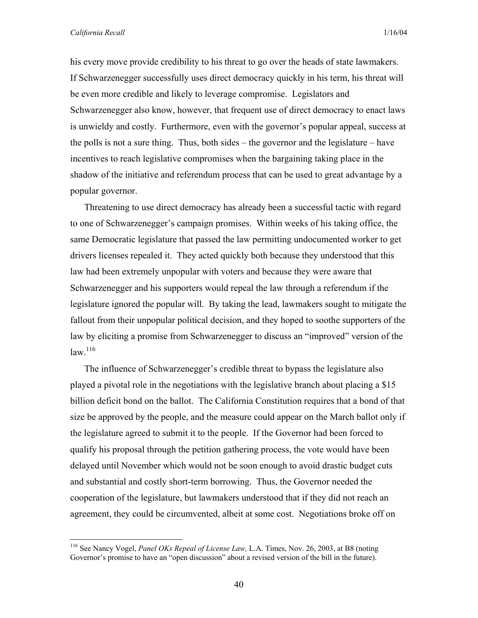1

his every move provide credibility to his threat to go over the heads of state lawmakers. If Schwarzenegger successfully uses direct democracy quickly in his term, his threat will be even more credible and likely to leverage compromise. Legislators and Schwarzenegger also know, however, that frequent use of direct democracy to enact laws is unwieldy and costly. Furthermore, even with the governor's popular appeal, success at the polls is not a sure thing. Thus, both sides – the governor and the legislature – have incentives to reach legislative compromises when the bargaining taking place in the shadow of the initiative and referendum process that can be used to great advantage by a popular governor.

Threatening to use direct democracy has already been a successful tactic with regard to one of Schwarzenegger's campaign promises. Within weeks of his taking office, the same Democratic legislature that passed the law permitting undocumented worker to get drivers licenses repealed it. They acted quickly both because they understood that this law had been extremely unpopular with voters and because they were aware that Schwarzenegger and his supporters would repeal the law through a referendum if the legislature ignored the popular will. By taking the lead, lawmakers sought to mitigate the fallout from their unpopular political decision, and they hoped to soothe supporters of the law by eliciting a promise from Schwarzenegger to discuss an "improved" version of the  $law.$ <sup>116</sup>

The influence of Schwarzenegger's credible threat to bypass the legislature also played a pivotal role in the negotiations with the legislative branch about placing a \$15 billion deficit bond on the ballot. The California Constitution requires that a bond of that size be approved by the people, and the measure could appear on the March ballot only if the legislature agreed to submit it to the people. If the Governor had been forced to qualify his proposal through the petition gathering process, the vote would have been delayed until November which would not be soon enough to avoid drastic budget cuts and substantial and costly short-term borrowing. Thus, the Governor needed the cooperation of the legislature, but lawmakers understood that if they did not reach an agreement, they could be circumvented, albeit at some cost. Negotiations broke off on

<sup>116</sup> See Nancy Vogel, *Panel OKs Repeal of License Law,* L.A. Times, Nov. 26, 2003, at B8 (noting Governor's promise to have an "open discussion" about a revised version of the bill in the future).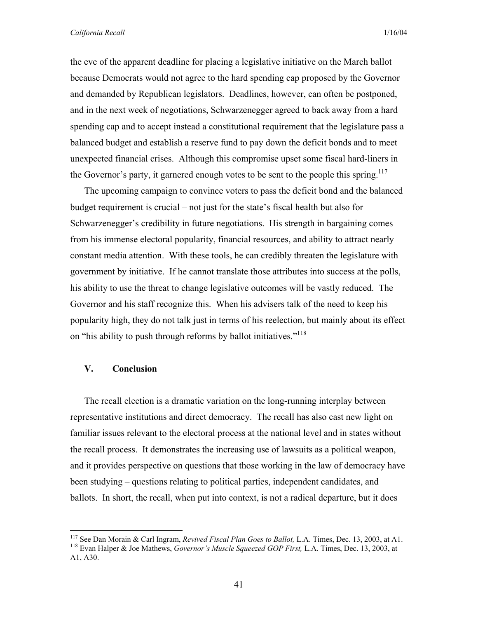the eve of the apparent deadline for placing a legislative initiative on the March ballot because Democrats would not agree to the hard spending cap proposed by the Governor and demanded by Republican legislators. Deadlines, however, can often be postponed, and in the next week of negotiations, Schwarzenegger agreed to back away from a hard spending cap and to accept instead a constitutional requirement that the legislature pass a balanced budget and establish a reserve fund to pay down the deficit bonds and to meet unexpected financial crises. Although this compromise upset some fiscal hard-liners in the Governor's party, it garnered enough votes to be sent to the people this spring.<sup>117</sup>

The upcoming campaign to convince voters to pass the deficit bond and the balanced budget requirement is crucial – not just for the state's fiscal health but also for Schwarzenegger's credibility in future negotiations. His strength in bargaining comes from his immense electoral popularity, financial resources, and ability to attract nearly constant media attention. With these tools, he can credibly threaten the legislature with government by initiative. If he cannot translate those attributes into success at the polls, his ability to use the threat to change legislative outcomes will be vastly reduced. The Governor and his staff recognize this. When his advisers talk of the need to keep his popularity high, they do not talk just in terms of his reelection, but mainly about its effect on "his ability to push through reforms by ballot initiatives."<sup>118</sup>

#### **V. Conclusion**

 $\overline{a}$ 

The recall election is a dramatic variation on the long-running interplay between representative institutions and direct democracy. The recall has also cast new light on familiar issues relevant to the electoral process at the national level and in states without the recall process. It demonstrates the increasing use of lawsuits as a political weapon, and it provides perspective on questions that those working in the law of democracy have been studying – questions relating to political parties, independent candidates, and ballots. In short, the recall, when put into context, is not a radical departure, but it does

<sup>117</sup> See Dan Morain & Carl Ingram, *Revived Fiscal Plan Goes to Ballot,* L.A. Times, Dec. 13, 2003, at A1. 118 Evan Halper & Joe Mathews, *Governor's Muscle Squeezed GOP First,* L.A. Times, Dec. 13, 2003, at A1, A30.